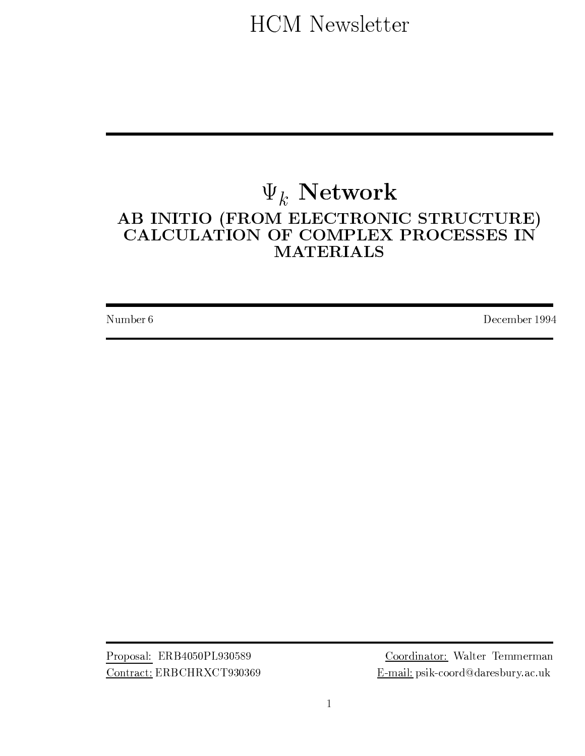**HCM** Newsletter

# $\Psi_k$  Network AB INITIO (FROM ELECTRONIC STRUCTURE)<br>CALCULATION OF COMPLEX PROCESSES IN **MATERIALS**

Number 6

December 1994

Proposal: ERB4050PL930589 Contract: ERBCHRXCT930369

Coordinator: Walter Temmerman E-mail: psik-coord@daresbury.ac.uk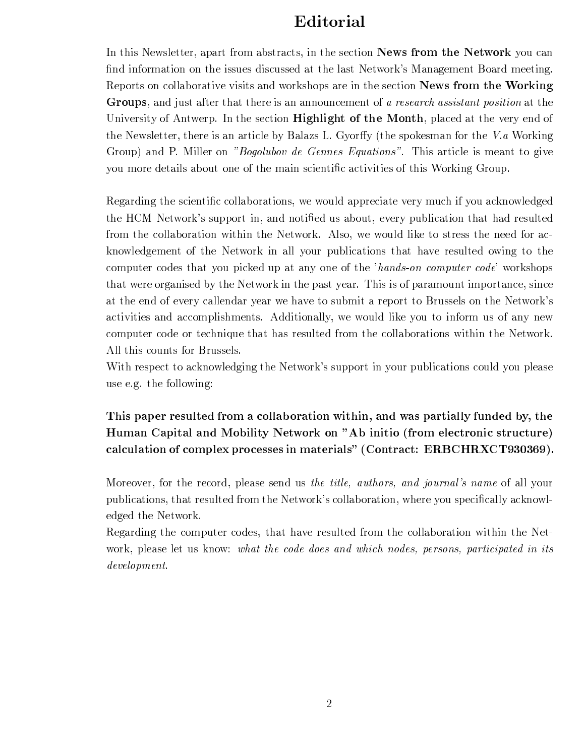### Editorial

In this Newsletter, apart from abstracts, in the section **News from the Network** you can find information on the issues discussed at the last Network's Management Board meeting. Reports on collaborative visits and workshops are in the section News from the Working Groups, and just after that there is an announcement of a research assistant position at the University of Antwerp. In the section **Highlight of the Month**, placed at the very end of the Newsletter, there is an article by Balazs L. Gyorffy (the spokesman for the V.a Working Group) and P. Miller on "Bogolubov de Gennes Equations". This article is meant to give you more details about one of the main scientific activities of this Working Group.

Regarding the scientific collaborations, we would appreciate very much if you acknowledged the HCM Network's support in, and notified us about, every publication that had resulted from the collaboration within the Network. Also, we would like to stress the need for acknowledgement of the Network in all your publications that have resulted owing to the computer codes that you picked up at any one of the 'hands-on computer code' workshops that were organised by the Network in the past year. This is of paramount importance, since at the end of every callendar year we have to submit a report to Brussels on the Network's activities and accomplishments. Additionally, we would like you to inform us of any new computer code or technique that has resulted from the collaborations within the Network. All this counts for Brussels.

With respect to acknowledging the Network's support in your publications could you please use e.g. the following:

This paper resulted from a collaboration within, and was partially funded by, the Human Capital and Mobility Network on "Ab initio (from electronic structure) calculation of complex processes in materials" (Contract: ERBCHRXCT930369).

Moreover, for the record, please send us the title, authors, and journal's name of all your publications, that resulted from the Network's collaboration, where you specifically acknowledged the Network.

Regarding the computer codes, that have resulted from the collaboration within the Network, please let us know: what the code does and which nodes, persons, participated in its  $\emph{development}.$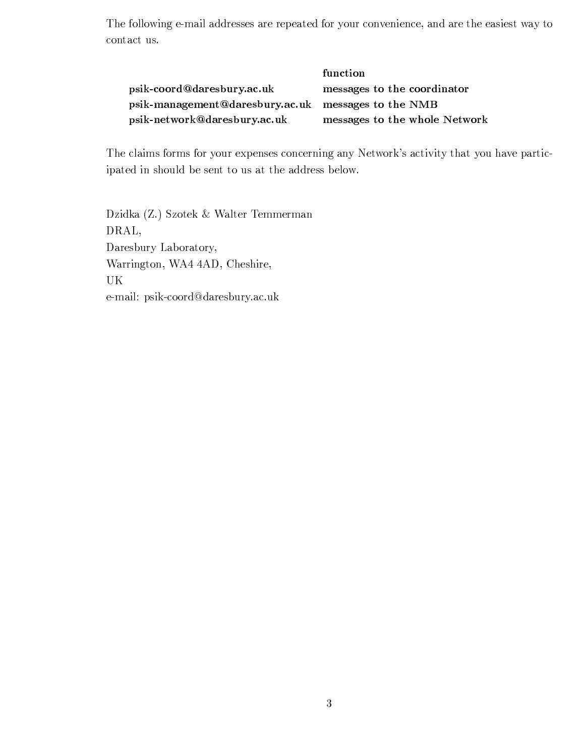The following e-mail addresses are repeated for your convenience, and are the easiest way to contact us.

|                                                                | function                      |
|----------------------------------------------------------------|-------------------------------|
| psik-coord@daresbury.ac.uk                                     | messages to the coordinator   |
| psik-management@daresbury.ac.uk messages to the $\mathbf{NMB}$ |                               |
| psik-network@daresbury.ac.uk                                   | messages to the whole Network |

The claims forms for your expenses concerning any Network's activity that you have participated in should be sent to us at the address below.

Dzidka (Z.) Szotek & Walter Temmerman DRAL, Daresbury Laboratory, Warrington, WA4 4AD, Cheshire, UK e-mail: psik-coord@daresbury.ac.uk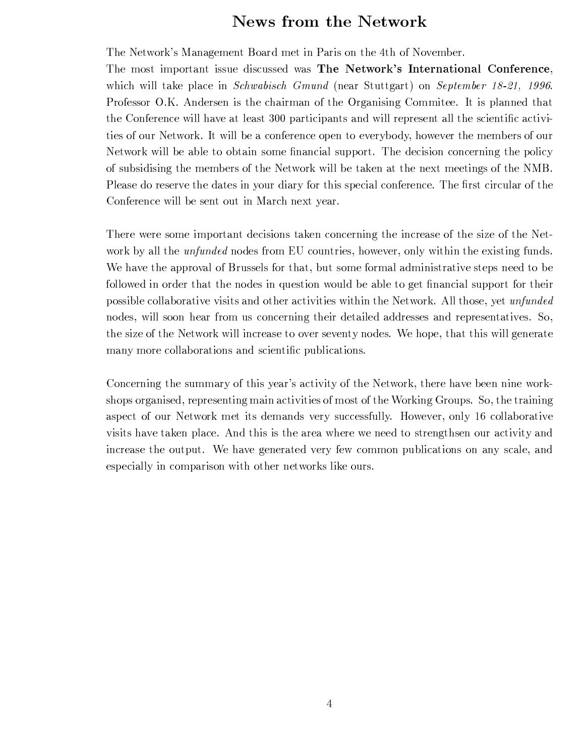### News from the Network

The Network's Management Board met in Paris on the 4th of November.

The most important issue discussed was The Network's International Conference, which will take place in *Schwabisch Gmund* (near Stuttgart) on *September 18-21*, 1996. Professor O.K. Andersen is the chairman of the Organising Commitee. It is planned that the Conference will have at least 300 participants and will represent all the scientific activities of our Network. It will be a conference open to everybody, however the members of our Network will be able to obtain some financial support. The decision concerning the policy of subsidising the members of the Network will be taken at the next meetings of the NMB. Please do reserve the dates in your diary for this special conference. The first circular of the Conference will be sent out in March next year.

There were some important decisions taken concerning the increase of the size of the Network by all the *unfunded* nodes from EU countries, however, only within the existing funds. We have the approval of Brussels for that, but some formal administrative steps need to be followed in order that the nodes in question would be able to get financial support for their possible collaborative visits and other activities within the Network. All those, yet unfunded nodes, will soon hear from us concerning their detailed addresses and representatives. So, the size of the Network will increase to over seventy nodes. We hope, that this will generate many more collaborations and scientific publications.

Concerning the summary of this year's activity of the Network, there have been nine workshops organised, representing main activities of most of the Working Groups. So, the training aspect of our Network met its demands very successfully. However, only 16 collaborative visits have taken place. And this is the area where we need to strengthsen our activity and increase the output. We have generated very few common publications on any scale, and especially in comparison with other networks like ours.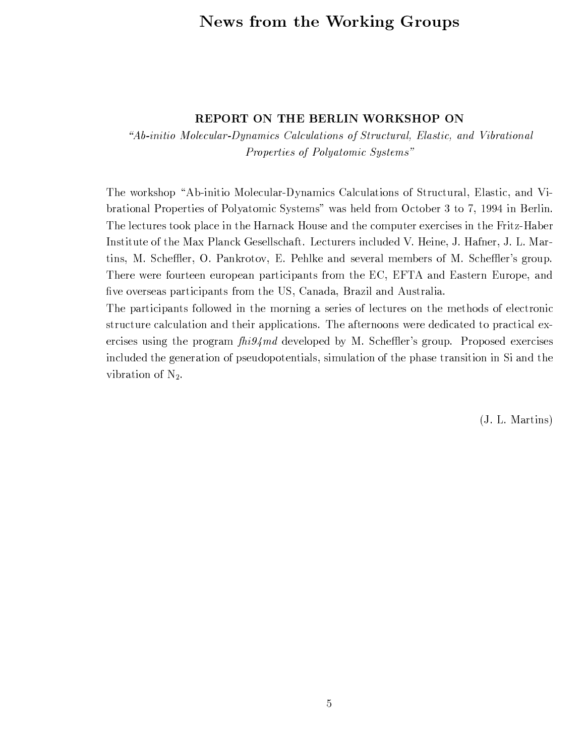### News from the Working Groups

#### REPORT ON THE BERLIN WORKSHOP ON

"Ab-initio Molecular-Dynamics Calculations of Structural, Elastic, and Vibrational Properties of Polyatomic Systems"

The workshop "Ab-initio Molecular-Dynamics Calculations of Structural, Elastic, and Vibrational Properties of Polyatomic Systems" was held from October 3 to 7, 1994 in Berlin. The lectures took place in the Harnack House and the computer exercises in the Fritz-Haber Institute of the Max Planck Gesellschaft. Lecturers included V. Heine, J. Hafner, J. L. Martins, M. Scheffler, O. Pankrotov, E. Pehlke and several members of M. Scheffler's group. There were fourteen european participants from the EC, EFTA and Eastern Europe, and five overseas participants from the US, Canada, Brazil and Australia.

The participants followed in the morning a series of lectures on the methods of electronic structure calculation and their applications. The afternoons were dedicated to practical exercises using the program  $\frac{f\{hig\}}{m}$  developed by M. Scheffler's group. Proposed exercises included the generation of pseudopotentials, simulation of the phase transition in Si and the vibration of  $N_2$ .

(J. L. Martins)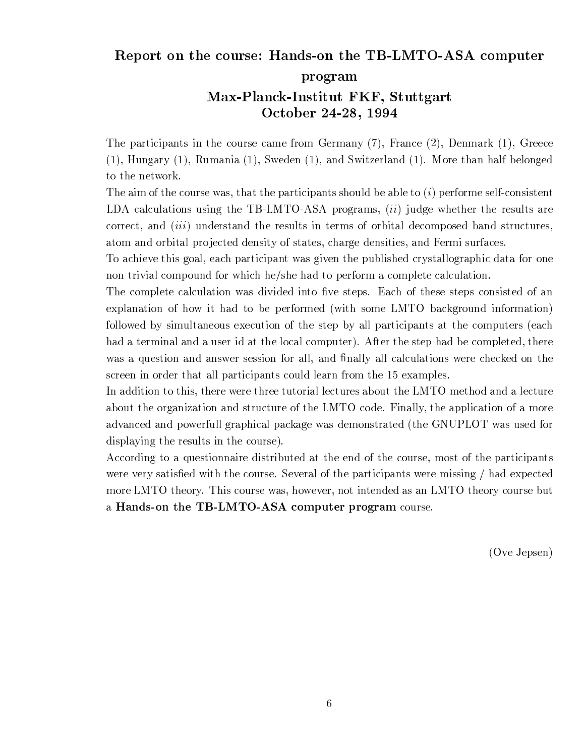### Report on the course: Hands-on the TB-LMTO-ASA computer

program

### Max-Planck-Institut FKF, Stuttgart October 24-28, 1994

The participants in the course came from Germany  $(7)$ , France  $(2)$ , Denmark  $(1)$ , Greece  $(1)$ , Hungary  $(1)$ , Rumania  $(1)$ , Sweden  $(1)$ , and Switzerland  $(1)$ . More than half belonged to the network.

The aim of the course was, that the participants should be able to  $(i)$  performe self-consistent LDA calculations using the TB-LMTO-ASA programs,  $(ii)$  judge whether the results are correct, and *(iii)* understand the results in terms of orbital decomposed band structures, atom and orbital projected density of states, charge densities, and Fermi surfaces.

To achieve this goal, each participant was given the published crystallographic data for one non trivial compound for which he/she had to perform a complete calculation.

The complete calculation was divided into five steps. Each of these steps consisted of an explanation of how it had to be performed (with some LMTO background information) followed by simultaneous execution of the step by all participants at the computers (each had a terminal and a user id at the local computer). After the step had be completed, there was a question and answer session for all, and finally all calculations were checked on the screen in order that all participants could learn from the 15 examples.

In addition to this, there were three tutorial lectures about the LMTO method and a lecture about the organization and structure of the LMTO code. Finally, the application of a more advanced and powerfull graphical package was demonstrated (the GNUPLOT was used for displaying the results in the course).

According to a questionnaire distributed at the end of the course, most of the participants were very satisfied with the course. Several of the participants were missing / had expected more LMTO theory. This course was, however, not intended as an LMTO theory course but a Hands-on the TB-LMTO-ASA computer program course.

(Ove Jepsen)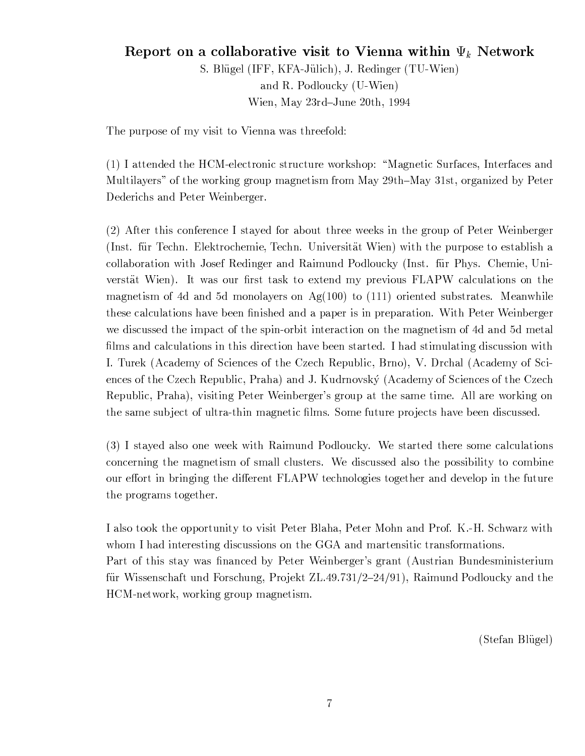### Report on a collaborative visit to Vienna within  $\Psi_k$  Network S. Blügel (IFF, KFA-Jülich), J. Redinger (TU-Wien) and R. Podloucky (U-Wien) Wien, May 23rd-June 20th, 1994

The purpose of my visit to Vienna was threefold:

(1) I attended the HCM-electronic structure workshop: "Magnetic Surfaces, Interfaces and Multilayers" of the working group magnetism from May 29th–May 31st, organized by Peter Dederichs and Peter Weinberger.

(2) After this conference I stayed for about three weeks in the group of Peter Weinberger (Inst. für Techn. Elektrochemie, Techn. Universität Wien) with the purpose to establish a collaboration with Josef Redinger and Raimund Podloucky (Inst. für Phys. Chemie, Universtät Wien). It was our first task to extend my previous FLAPW calculations on the magnetism of 4d and 5d monolayers on Ag $(100)$  to  $(111)$  oriented substrates. Meanwhile these calculations have been finished and a paper is in preparation. With Peter Weinberger we discussed the impact of the spin-orbit interaction on the magnetism of 4d and 5d metal films and calculations in this direction have been started. I had stimulating discussion with I. Turek (Academy of Sciences of the Czech Republic, Brno), V. Drchal (Academy of Sciences of the Czech Republic, Praha) and J. Kudrnovský (Academy of Sciences of the Czech Republic, Praha), visiting Peter Weinberger's group at the same time. All are working on the same subject of ultra-thin magnetic films. Some future projects have been discussed.

(3) I stayed also one week with Raimund Podloucky. We started there some calculations concerning the magnetism of small clusters. We discussed also the possibility to combine our effort in bringing the different FLAPW technologies together and develop in the future the programs together.

I also took the opportunity to visit Peter Blaha, Peter Mohn and Prof. K.-H. Schwarz with whom I had interesting discussions on the GGA and martensitic transformations. Part of this stay was financed by Peter Weinberger's grant (Austrian Bundesministerium für Wissenschaft und Forschung, Projekt ZL.49.731/2-24/91), Raimund Podloucky and the HCM-network, working group magnetism.

(Stefan Blügel)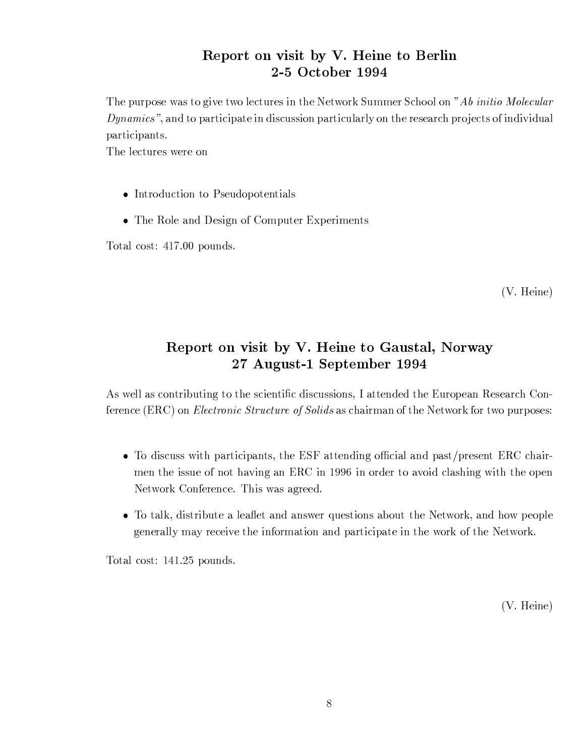### Report on visit by V. Heine to Berlin 2-5 October 1994

The purpose was to give two lectures in the Network Summer School on "Ab initio Molecular" *Dynamics*", and to participate in discussion particularly on the research projects of individual participants.

The lectures were on

- Introduction to Pseudopotentials
- The Role and Design of Computer Experiments

Total cost: 417.00 pounds.

 $(V. Heine)$ 

### Report on visit by V. Heine to Gaustal, Norway 27 August-1 September 1994

As well as contributing to the scientific discussions, I attended the European Research Conference (ERC) on *Electronic Structure of Solids* as chairman of the Network for two purposes:

- To discuss with participants, the ESF attending official and past/present ERC chairmen the issue of not having an ERC in 1996 in order to avoid clashing with the open Network Conference. This was agreed.
- To talk, distribute a leaflet and answer questions about the Network, and how people generally may receive the information and participate in the work of the Network.

Total cost: 141.25 pounds.

 $(V. Heine)$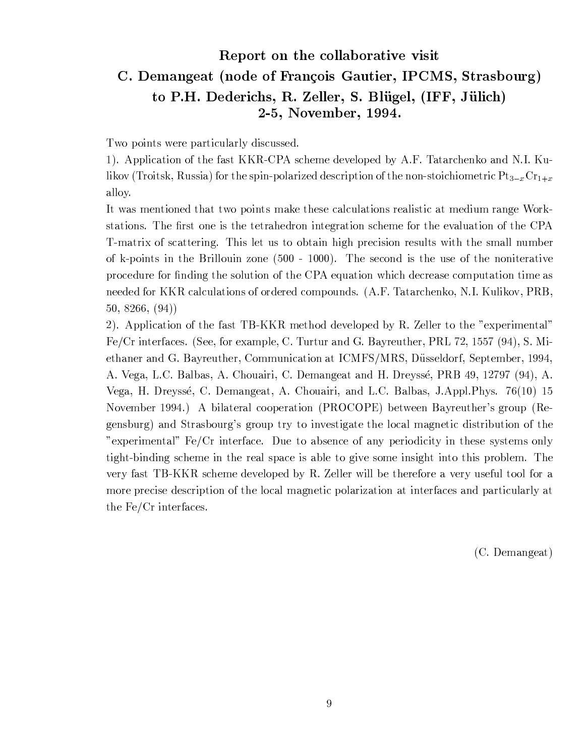### Report on the collaborative visit C. Demangeat (node of François Gautier, IPCMS, Strasbourg) to P.H. Dederichs, R. Zeller, S. Blügel, (IFF, Jülich) 2-5, November, 1994.

Two points were particularly discussed.

1). Application of the fast KKR-CPA scheme developed by A.F. Tatarchenko and N.I. Kulikov (Troitsk, Russia) for the spin-polarized description of the non-stoichiometric  $Pt_{3-x}Cr_{1+x}$ alloy.

It was mentioned that two points make these calculations realistic at medium range Workstations. The first one is the tetrahedron integration scheme for the evaluation of the CPA T-matrix of scattering. This let us to obtain high precision results with the small number of k-points in the Brillouin zone  $(500 - 1000)$ . The second is the use of the noniterative procedure for finding the solution of the CPA equation which decrease computation time as needed for KKR calculations of ordered compounds. (A.F. Tatarchenko, N.I. Kulikov, PRB,  $50, 8266, (94)$ 

2). Application of the fast TB-KKR method developed by R. Zeller to the "experimental" Fe/Cr interfaces. (See, for example, C. Turtur and G. Bayreuther, PRL 72, 1557 (94), S. Miethaner and G. Bayreuther, Communication at ICMFS/MRS, Düsseldorf, September, 1994, A. Vega, L.C. Balbas, A. Chouairi, C. Demangeat and H. Dreyssé, PRB 49, 12797 (94), A. Vega, H. Dreyssé, C. Demangeat, A. Chouairi, and L.C. Balbas, J.Appl.Phys. 76(10) 15 November 1994.) A bilateral cooperation (PROCOPE) between Bayreuther's group (Regensburg) and Strasbourg's group try to investigate the local magnetic distribution of the "experimental" Fe/Cr interface. Due to absence of any periodicity in these systems only tight-binding scheme in the real space is able to give some insight into this problem. The very fast TB-KKR scheme developed by R. Zeller will be therefore a very useful tool for a more precise description of the local magnetic polarization at interfaces and particularly at the  $Fe/Cr$  interfaces.

 $(C.$  Demangeat)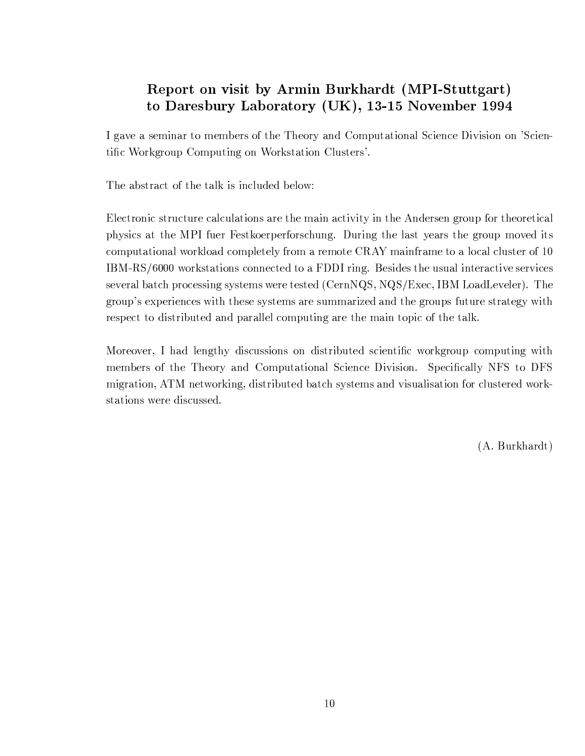### Report on visit by Armin Burkhardt (MPI-Stuttgart) to Daresbury Laboratory (UK), 13-15 November 1994

I gave a seminar to members of the Theory and Computational Science Division on 'Scientific Workgroup Computing on Workstation Clusters'.

The abstract of the talk is included below:

Electronic structure calculations are the main activity in the Andersen group for theoretical physics at the MPI fuer Festkoerperforschung. During the last years the group moved its computational workload completely from a remote CRAY mainframe to a local cluster of 10 IBM-RS/6000 workstations connected to a FDDI ring. Besides the usual interactive services several batch processing systems were tested (CernNQS, NQS/Exec, IBM LoadLeveler). The group's experiences with these systems are summarized and the groups future strategy with respect to distributed and parallel computing are the main topic of the talk.

Moreover, I had lengthy discussions on distributed scientific workgroup computing with members of the Theory and Computational Science Division. Specifically NFS to DFS migration, ATM networking, distributed batch systems and visualisation for clustered workstations were discussed.

 $(A. Burkhardt)$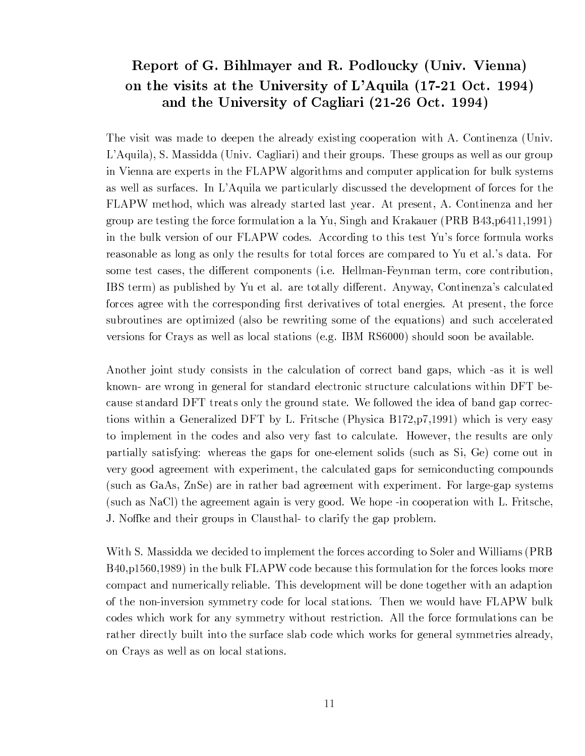### Report of G. Bihlmayer and R. Podloucky (Univ. Vienna) on the visits at the University of L'Aquila (17-21 Oct. 1994) and the University of Cagliari (21-26 Oct. 1994)

The visit was made to deepen the already existing cooperation with A. Continenza (Univ. L'Aquila), S. Massidda (Univ. Cagliari) and their groups. These groups as well as our group in Vienna are experts in the FLAPW algorithms and computer application for bulk systems as well as surfaces. In L'Aquila we particularly discussed the development of forces for the FLAPW method, which was already started last year. At present, A. Continenza and her group are testing the force formulation a la Yu, Singh and Krakauer (PRB B43,  $p6411,1991$ ) in the bulk version of our FLAPW codes. According to this test Yu's force formula works reasonable as long as only the results for total forces are compared to Yu et al.'s data. For some test cases, the different components (i.e. Hellman-Feynman term, core contribution, IBS term) as published by Yu et al. are totally different. Anyway, Continenza's calculated forces agree with the corresponding first derivatives of total energies. At present, the force subroutines are optimized (also be rewriting some of the equations) and such accelerated versions for Crays as well as local stations (e.g. IBM RS6000) should soon be available.

Another joint study consists in the calculation of correct band gaps, which -as it is well known- are wrong in general for standard electronic structure calculations within DFT because standard DFT treats only the ground state. We followed the idea of band gap corrections within a Generalized DFT by L. Fritsche (Physica B172, p7,1991) which is very easy to implement in the codes and also very fast to calculate. However, the results are only partially satisfying: whereas the gaps for one-element solids (such as Si, Ge) come out in very good agreement with experiment, the calculated gaps for semiconducting compounds (such as GaAs, ZnSe) are in rather bad agreement with experiment. For large-gap systems (such as NaCl) the agreement again is very good. We hope -in cooperation with L. Fritsche, J. Noffke and their groups in Clausthal- to clarify the gap problem.

With S. Massidda we decided to implement the forces according to Soler and Williams (PRB) B40, p1560, 1989) in the bulk FLAPW code because this formulation for the forces looks more compact and numerically reliable. This development will be done together with an adaption of the non-inversion symmetry code for local stations. Then we would have FLAPW bulk codes which work for any symmetry without restriction. All the force formulations can be rather directly built into the surface slab code which works for general symmetries already, on Crays as well as on local stations.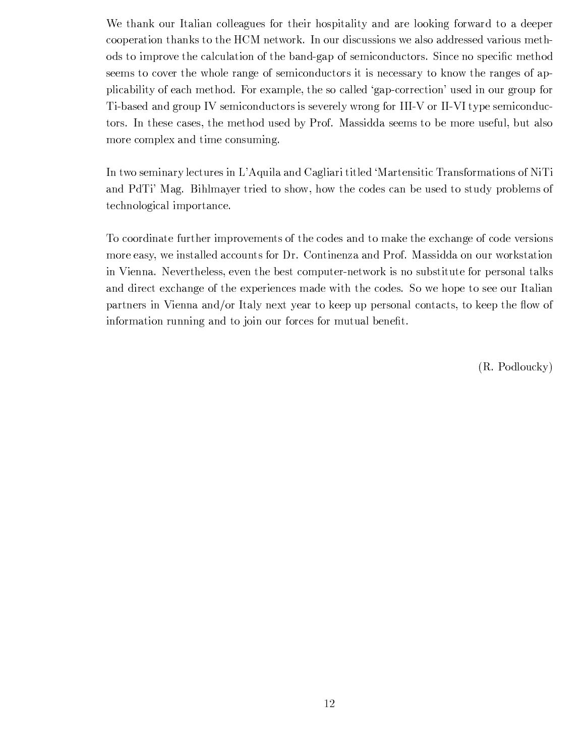We thank our Italian colleagues for their hospitality and are looking forward to a deeper cooperation thanks to the HCM network. In our discussions we also addressed various methods to improve the calculation of the band-gap of semiconductors. Since no specific method seems to cover the whole range of semiconductors it is necessary to know the ranges of applicability of each method. For example, the so called 'gap-correction' used in our group for Ti-based and group IV semiconductors is severely wrong for III-V or II-VI type semiconductors. In these cases, the method used by Prof. Massidda seems to be more useful, but also more complex and time consuming.

In two seminary lectures in L'Aquila and Cagliari titled 'Martensitic Transformations of NiTi and PdTi' Mag. Bihlmayer tried to show, how the codes can be used to study problems of technological importance.

To coordinate further improvements of the codes and to make the exchange of code versions more easy, we installed accounts for Dr. Continenza and Prof. Massidda on our workstation in Vienna. Nevertheless, even the best computer-network is no substitute for personal talks and direct exchange of the experiences made with the codes. So we hope to see our Italian partners in Vienna and/or Italy next year to keep up personal contacts, to keep the flow of information running and to join our forces for mutual benefit.

 $(R. Podlowcky)$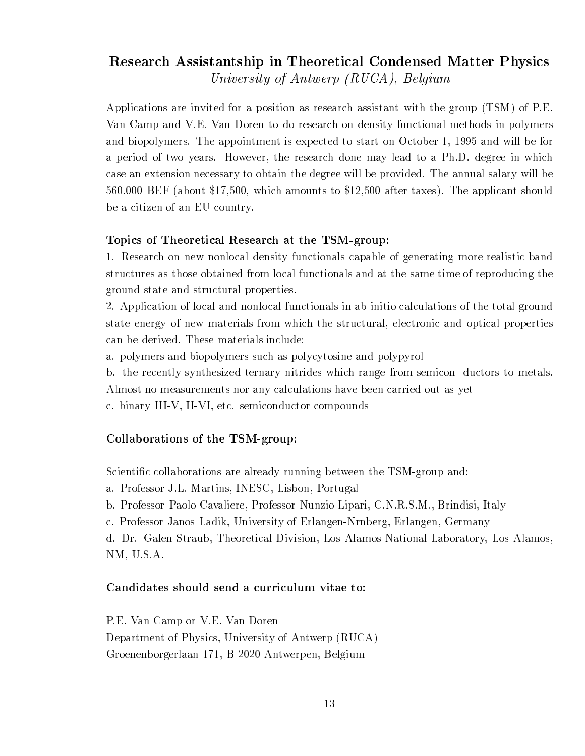### Research Assistantship in Theoretical Condensed Matter Physics University of Antwerp  $(RUCA)$ , Belgium

Applications are invited for a position as research assistant with the group (TSM) of P.E. Van Camp and V.E. Van Doren to do research on density functional methods in polymers and biopolymers. The appointment is expected to start on October 1, 1995 and will be for a period of two years. However, the research done may lead to a Ph.D. degree in which case an extension necessary to obtain the degree will be provided. The annual salary will be 560,000 BEF (about \$17,500, which amounts to \$12,500 after taxes). The applicant should be a citizen of an EU country.

#### Topics of Theoretical Research at the TSM-group:

1. Research on new nonlocal density functionals capable of generating more realistic band structures as those obtained from local functionals and at the same time of reproducing the ground state and structural properties.

2. Application of local and nonlocal functionals in ab initio calculations of the total ground state energy of new materials from which the structural, electronic and optical properties can be derived. These materials include:

a. polymers and biopolymers such as polycytosine and polypyrol

b. the recently synthesized ternary nitrides which range from semicon- ductors to metals. Almost no measurements nor any calculations have been carried out as yet

c. binary III-V, II-VI, etc. semiconductor compounds

#### Collaborations of the TSM-group:

Scientific collaborations are already running between the TSM-group and:

a. Professor J.L. Martins, INESC, Lisbon, Portugal

b. Professor Paolo Cavaliere, Professor Nunzio Lipari, C.N.R.S.M., Brindisi, Italy

c. Professor Janos Ladik, University of Erlangen-Nrnberg, Erlangen, Germany

d. Dr. Galen Straub, Theoretical Division, Los Alamos National Laboratory, Los Alamos,  $NM, U.S.A.$ 

#### Candidates should send a curriculum vitae to:

P.E. Van Camp or V.E. Van Doren Department of Physics, University of Antwerp (RUCA) Groenenborgerlaan 171, B-2020 Antwerpen, Belgium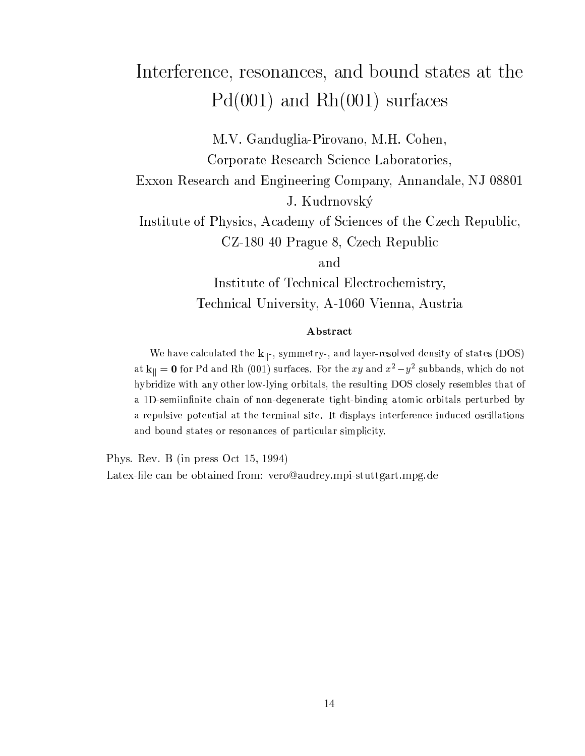# Interference, resonances, and bound states at the  $Pd(001)$  and  $Rh(001)$  surfaces

M.V. Ganduglia-Pirovano, M.H. Cohen, Corporate Research Science Laboratories,

Exxon Research and Engineering Company, Annandale, NJ 08801 J. Kudrnovský

Institute of Physics, Academy of Sciences of the Czech Republic, CZ-180 40 Prague 8, Czech Republic

and

Institute of Technical Electrochemistry, Technical University, A-1060 Vienna, Austria

#### Abstract

We have calculated the  $k_{\parallel}$ -, symmetry-, and layer-resolved density of states (DOS) at  $\mathbf{k}_{||} = \mathbf{0}$  for Pd and Rh (001) surfaces. For the  $xy$  and  $x^2 - y^2$  subbands, which do not hybridize with any other low-lying orbitals, the resulting DOS closely resembles that of a 1D-semiinfinite chain of non-degenerate tight-binding atomic orbitals perturbed by a repulsive potential at the terminal site. It displays interference induced oscillations and bound states or resonances of particular simplicity.

Phys. Rev. B (in press Oct 15, 1994) Latex-file can be obtained from: vero@audrey.mpi-stuttgart.mpg.de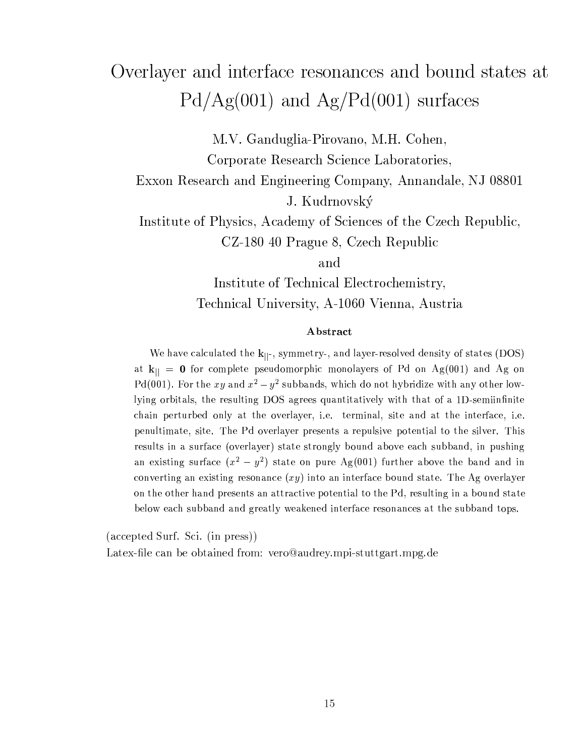## Overlayer and interface resonances and bound states at  $Pd/Ag(001)$  and  $Ag/Pd(001)$  surfaces

M.V. Ganduglia-Pirovano, M.H. Cohen,

Corporate Research Science Laboratories,

Exxon Research and Engineering Company, Annandale, NJ 08801

J. Kudrnovský

Institute of Physics, Academy of Sciences of the Czech Republic, CZ-180 40 Prague 8, Czech Republic

and

Institute of Technical Electrochemistry, Technical University, A-1060 Vienna, Austria

#### Abstract

We have calculated the  $k_{\parallel}$ , symmetry-, and layer-resolved density of states (DOS) at  $k_{\parallel} = 0$  for complete pseudomorphic monolayers of Pd on Ag(001) and Ag on Pd(001). For the xy and  $x^2 - y^2$  subbands, which do not hybridize with any other lowlying orbitals, the resulting DOS agrees quantitatively with that of a 1D-semiinfinite chain perturbed only at the overlayer, i.e. terminal, site and at the interface, i.e. penultimate, site. The Pd overlayer presents a repulsive potential to the silver. This results in a surface (overlayer) state strongly bound above each subband, in pushing an existing surface  $(x^2 - y^2)$  state on pure Ag(001) further above the band and in converting an existing resonance  $(xy)$  into an interface bound state. The Ag overlayer on the other hand presents an attractive potential to the Pd, resulting in a bound state below each subband and greatly weakened interface resonances at the subband tops.

(accepted Surf. Sci. (in press))

Latex-file can be obtained from: vero@audrey.mpi-stuttgart.mpg.de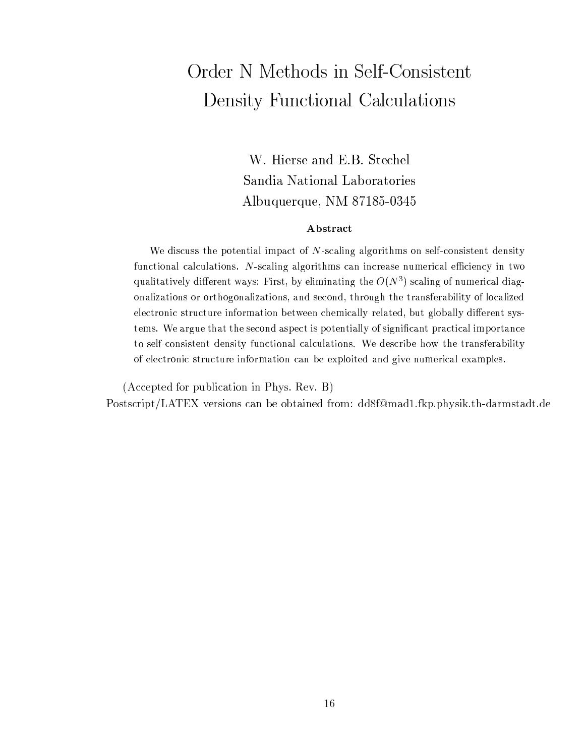# Order N Methods in Self-Consistent Density Functional Calculations

W. Hierse and E.B. Stechel Sandia National Laboratories Albuquerque, NM 87185-0345

#### Abstract

We discuss the potential impact of N-scaling algorithms on self-consistent density functional calculations. N-scaling algorithms can increase numerical efficiency in two qualitatively different ways: First, by eliminating the  $O(N^3)$  scaling of numerical diagonalizations or orthogonalizations, and second, through the transferability of localized electronic structure information between chemically related, but globally different systems. We argue that the second aspect is potentially of significant practical importance to self-consistent density functional calculations. We describe how the transferability of electronic structure information can be exploited and give numerical examples.

(Accepted for publication in Phys. Rev. B)

Postscript/LATEX versions can be obtained from: dd8f@mad1.fkp.physik.th-darmstadt.de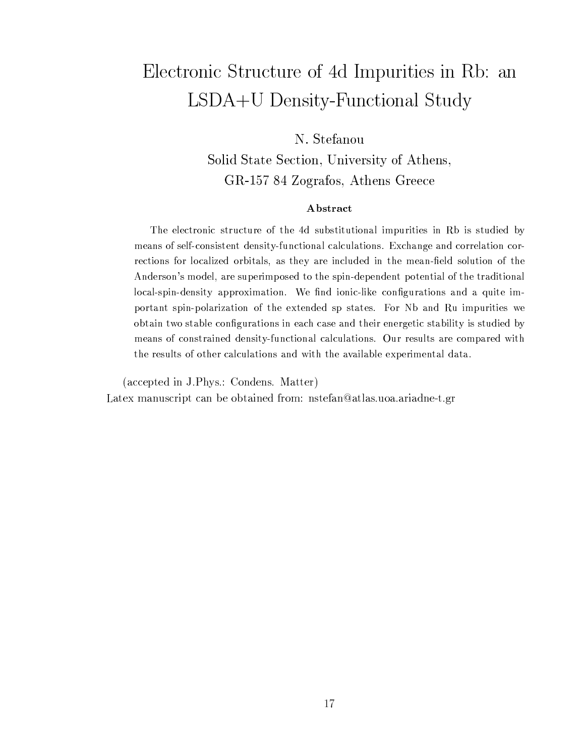### Electronic Structure of 4d Impurities in Rb: an LSDA+U Density-Functional Study

### N. Stefanou

Solid State Section, University of Athens, GR-157 84 Zografos, Athens Greece

#### Abstract

The electronic structure of the 4d substitutional impurities in Rb is studied by means of self-consistent density-functional calculations. Exchange and correlation corrections for localized orbitals, as they are included in the mean-field solution of the Anderson's model, are superimposed to the spin-dependent potential of the traditional local-spin-density approximation. We find ionic-like configurations and a quite important spin-polarization of the extended sp states. For Nb and Ru impurities we obtain two stable configurations in each case and their energetic stability is studied by means of constrained density-functional calculations. Our results are compared with the results of other calculations and with the available experimental data.

(accepted in J.Phys.: Condens. Matter)

Latex manuscript can be obtained from: nstefan@atlas.uoa.ariadne-t.gr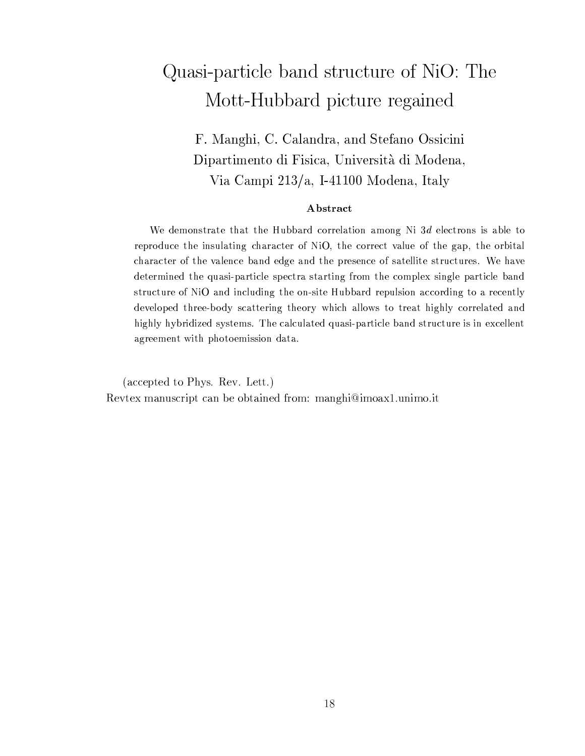## Quasi-particle band structure of NiO: The Mott-Hubbard picture regained

F. Manghi, C. Calandra, and Stefano Ossicini Dipartimento di Fisica, Università di Modena, Via Campi 213/a, I-41100 Modena, Italy

#### Abstract

We demonstrate that the Hubbard correlation among Ni 3d electrons is able to reproduce the insulating character of NiO, the correct value of the gap, the orbital character of the valence band edge and the presence of satellite structures. We have determined the quasi-particle spectra starting from the complex single particle band structure of NiO and including the on-site Hubbard repulsion according to a recently developed three-body scattering theory which allows to treat highly correlated and highly hybridized systems. The calculated quasi-particle band structure is in excellent agreement with photoemission data.

(accepted to Phys. Rev. Lett.) Reviex manuscript can be obtained from: manghi@imoax1.unimo.it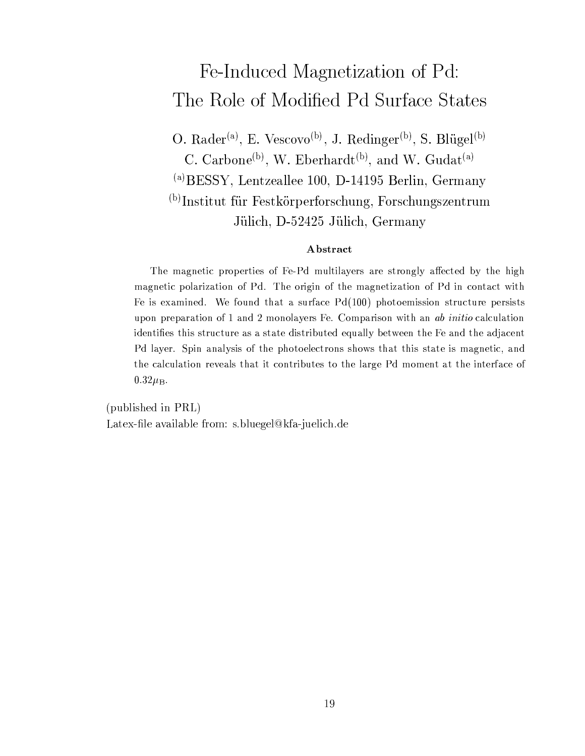## Fe-Induced Magnetization of Pd: The Role of Modified Pd Surface States

O. Rader<sup>(a)</sup>, E. Vescovo<sup>(b)</sup>, J. Redinger<sup>(b)</sup>, S. Blügel<sup>(b)</sup> C. Carbone<sup>(b)</sup>, W. Eberhardt<sup>(b)</sup>, and W. Gudat<sup>(a)</sup>  $\alpha$ ) BESSY, Lentzeallee 100, D-14195 Berlin, Germany <sup>(b)</sup>Institut für Festkörperforschung, Forschungszentrum Jülich, D-52425 Jülich, Germany

#### Abstract

The magnetic properties of Fe-Pd multilayers are strongly affected by the high magnetic polarization of Pd. The origin of the magnetization of Pd in contact with Fe is examined. We found that a surface  $Pd(100)$  photoemission structure persists upon preparation of 1 and 2 monolayers Fe. Comparison with an ab initio calculation identifies this structure as a state distributed equally between the Fe and the adjacent Pd layer. Spin analysis of the photoelectrons shows that this state is magnetic, and the calculation reveals that it contributes to the large Pd moment at the interface of  $0.32\mu_{\rm B}$ .

(published in PRL) Latex-file available from: s.bluegel@kfa-juelich.de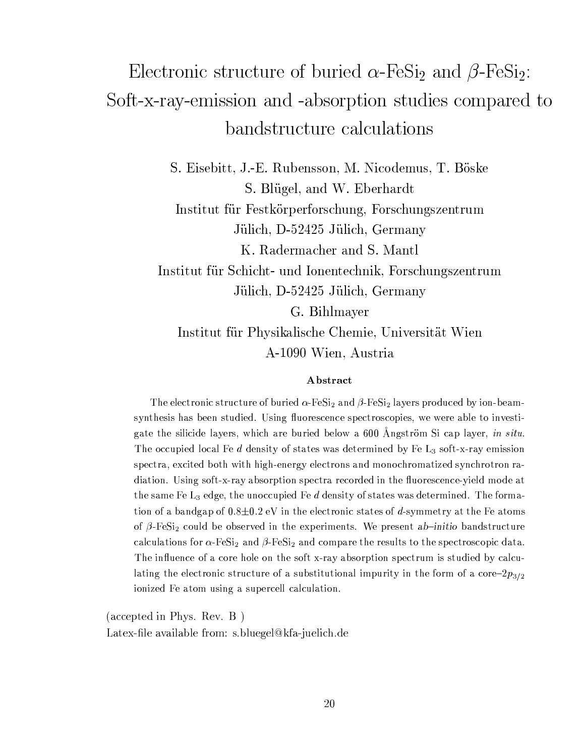# Electronic structure of buried  $\alpha$ -FeSi<sub>2</sub> and  $\beta$ -FeSi<sub>2</sub>: Soft-x-ray-emission and -absorption studies compared to bandstructure calculations

S. Eisebitt, J.-E. Rubensson, M. Nicodemus, T. Böske S. Blügel, and W. Eberhardt

Institut für Festkörperforschung, Forschungszentrum Jülich, D-52425 Jülich, Germany

K. Radermacher and S. Mantl

Institut für Schicht- und Ionentechnik, Forschungszentrum Jülich, D-52425 Jülich, Germany

G. Bihlmayer Institut für Physikalische Chemie, Universität Wien A-1090 Wien, Austria

#### Abstract

The electronic structure of buried  $\alpha$ -FeSi<sub>2</sub> and  $\beta$ -FeSi<sub>2</sub> layers produced by ion-beamsynthesis has been studied. Using fluorescence spectroscopies, we were able to investigate the silicide layers, which are buried below a 600 Angström Si cap layer, in situ. The occupied local Fe  $d$  density of states was determined by Fe  $L_3$  soft-x-ray emission spectra, excited both with high-energy electrons and monochromatized synchrotron radiation. Using soft-x-ray absorption spectra recorded in the fluorescence-yield mode at the same Fe  $\mathrm{L}_3$  edge, the unoccupied Fe  $d$  density of states was determined. The formation of a bandgap of  $0.8\pm0.2$  eV in the electronic states of d-symmetry at the Fe atoms of  $\beta$ -FeSi<sub>2</sub> could be observed in the experiments. We present ab-initio bandstructure calculations for  $\alpha$ -FeSi<sub>2</sub> and  $\beta$ -FeSi<sub>2</sub> and compare the results to the spectroscopic data. The influence of a core hole on the soft x-ray absorption spectrum is studied by calculating the electronic structure of a substitutional impurity in the form of a core- $2p_{3/2}$ ionized Fe atom using a supercell calculation.

 $(\text{accepted in Phys. Rev. B})$ Latex-file available from: s.bluegel@kfa-juelich.de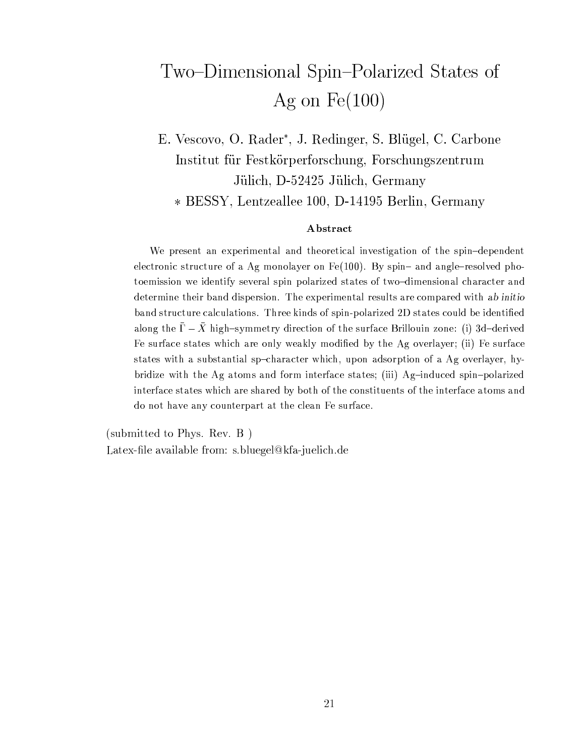# Two-Dimensional Spin-Polarized States of Ag on  $Fe(100)$

E. Vescovo, O. Rader<sup>\*</sup>, J. Redinger, S. Blügel, C. Carbone Institut für Festkörperforschung, Forschungszentrum Jülich, D-52425 Jülich, Germany \* BESSY, Lentzeallee 100, D-14195 Berlin, Germany

#### Abstract

We present an experimental and theoretical investigation of the spin-dependent electronic structure of a Ag monolayer on Fe(100). By spin- and angle-resolved photoemission we identify several spin polarized states of two-dimensional character and determine their band dispersion. The experimental results are compared with ab initio band structure calculations. Three kinds of spin-polarized 2D states could be identified along the  $\bar{\Gamma} - \bar{X}$  high-symmetry direction of the surface Brillouin zone: (i) 3d-derived Fe surface states which are only weakly modified by the Ag overlayer; (ii) Fe surface states with a substantial sp-character which, upon adsorption of a Ag overlayer, hybridize with the Ag atoms and form interface states; (iii) Ag-induced spin-polarized interface states which are shared by both of the constituents of the interface atoms and do not have any counterpart at the clean Fe surface.

(submitted to Phys. Rev. B) Latex-file available from: s.bluegel@kfa-juelich.de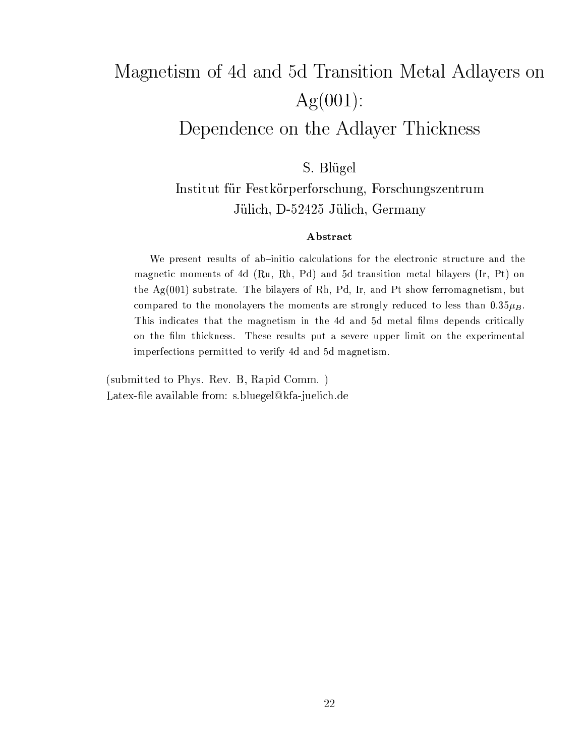# Magnetism of 4d and 5d Transition Metal Adlayers on  $Ag(001)$ :

### Dependence on the Adlayer Thickness

S. Blügel

Institut für Festkörperforschung, Forschungszentrum Jülich, D-52425 Jülich, Germany

#### Abstract

We present results of ab-initio calculations for the electronic structure and the magnetic moments of 4d (Ru, Rh, Pd) and 5d transition metal bilayers (Ir, Pt) on the  $Ag(001)$  substrate. The bilayers of Rh, Pd, Ir, and Pt show ferromagnetism, but compared to the monolayers the moments are strongly reduced to less than  $0.35\mu_B$ . This indicates that the magnetism in the 4d and 5d metal films depends critically on the film thickness. These results put a severe upper limit on the experimental imperfections permitted to verify 4d and 5d magnetism.

(submitted to Phys. Rev. B, Rapid Comm.) Latex-file available from: s.bluegel@kfa-juelich.de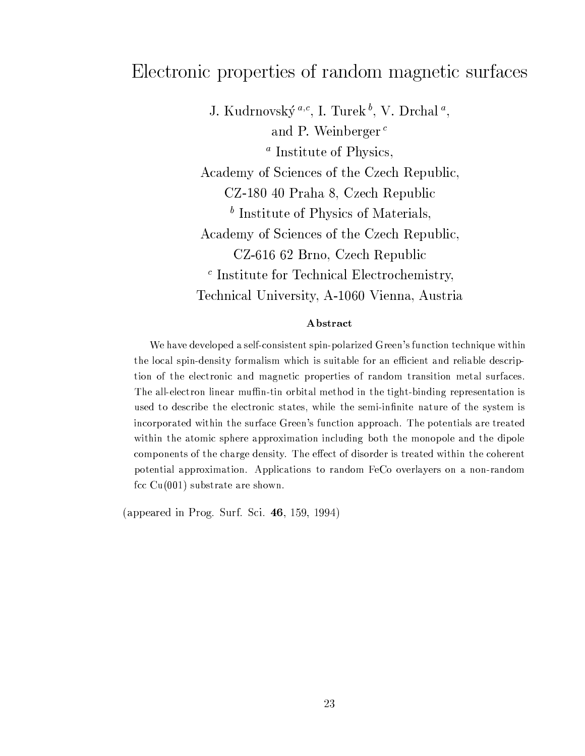### Electronic properties of random magnetic surfaces

J. Kudrnovský  $a,c$ , I. Turek  $^b$ , V. Drchal  $^a$ , and P. Weinberger<sup> $c$ </sup>  $a$  Institute of Physics, Academy of Sciences of the Czech Republic, CZ-180 40 Praha 8, Czech Republic  $\frac{b}{c}$  Institute of Physics of Materials. Academy of Sciences of the Czech Republic, CZ-616 62 Brno, Czech Republic  $\epsilon$  Institute for Technical Electrochemistry, Technical University, A-1060 Vienna, Austria

#### Abstract

We have developed a self-consistent spin-polarized Green's function technique within the local spin-density formalism which is suitable for an efficient and reliable description of the electronic and magnetic properties of random transition metal surfaces. The all-electron linear muffin-tin orbital method in the tight-binding representation is used to describe the electronic states, while the semi-infinite nature of the system is incorporated within the surface Green's function approach. The potentials are treated within the atomic sphere approximation including both the monopole and the dipole components of the charge density. The effect of disorder is treated within the coherent potential approximation. Applications to random FeCo overlayers on a non-random fcc  $Cu(001)$  substrate are shown.

(appeared in Prog. Surf. Sci. 46, 159, 1994)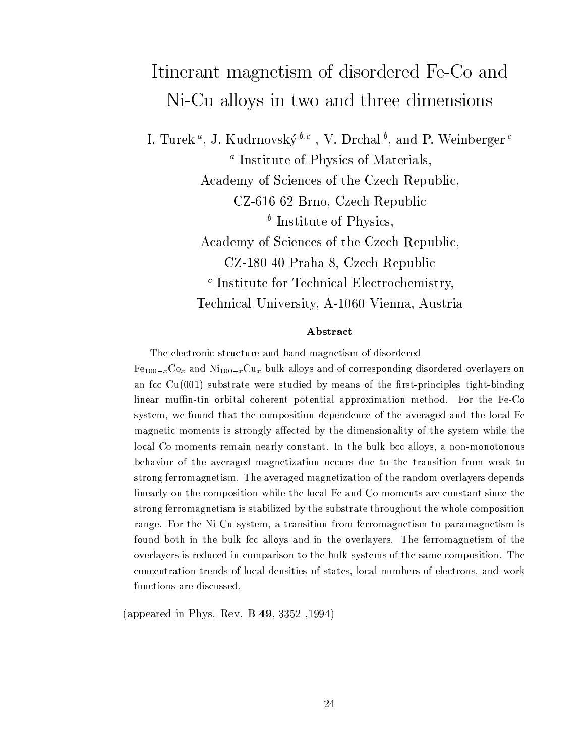## Itinerant magnetism of disordered Fe-Co and Ni-Cu alloys in two and three dimensions

I. Turek<sup>*a*</sup>, J. Kudrnovský<sup> $b,c$ </sup>, V. Drchal<sup>b</sup>, and P. Weinberger<sup>c</sup> <sup>*a*</sup> Institute of Physics of Materials, Academy of Sciences of the Czech Republic, CZ-616 62 Brno, Czech Republic  $\bar{b}$  Institute of Physics, Academy of Sciences of the Czech Republic, CZ-180 40 Praha 8, Czech Republic  $\epsilon$  Institute for Technical Electrochemistry, Technical University, A-1060 Vienna, Austria

#### Abstract

The electronic structure and band magnetism of disordered

 $Fe_{100-x}Co_x$  and  $Ni_{100-x}Cu_x$  bulk alloys and of corresponding disordered overlayers on an fcc  $Cu(001)$  substrate were studied by means of the first-principles tight-binding linear muffin-tin orbital coherent potential approximation method. For the Fe-Co system, we found that the composition dependence of the averaged and the local Fe magnetic moments is strongly affected by the dimensionality of the system while the local Co moments remain nearly constant. In the bulk bcc alloys, a non-monotonous behavior of the averaged magnetization occurs due to the transition from weak to strong ferromagnetism. The averaged magnetization of the random overlayers depends linearly on the composition while the local Fe and Co moments are constant since the strong ferromagnetism is stabilized by the substrate throughout the whole composition range. For the Ni-Cu system, a transition from ferromagnetism to paramagnetism is found both in the bulk fcc alloys and in the overlayers. The ferromagnetism of the overlayers is reduced in comparison to the bulk systems of the same composition. The concentration trends of local densities of states, local numbers of electrons, and work functions are discussed.

(appeared in Phys. Rev. B 49, 3352, 1994)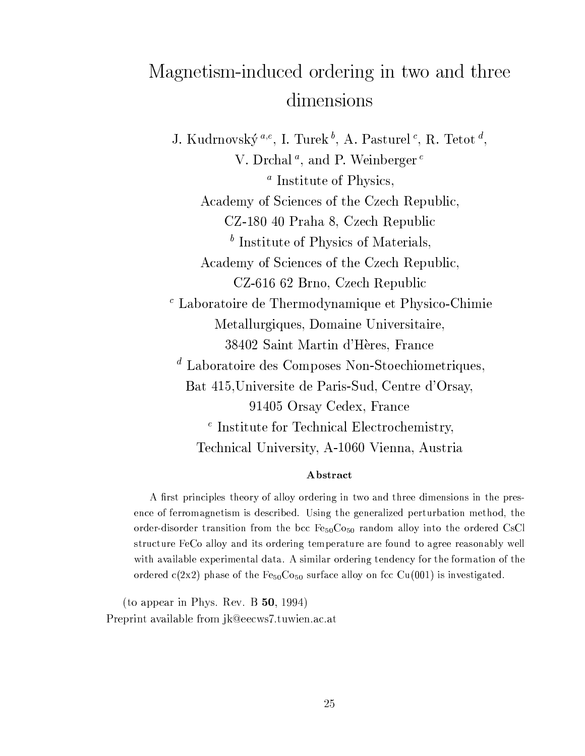## Magnetism-induced ordering in two and three dimensions

J. Kudrnovský<sup> $a,e$ </sup>, I. Turek<sup>b</sup>, A. Pasturel<sup>c</sup>, R. Tetot<sup>d</sup>, V. Drchal<sup>*a*</sup>, and P. Weinberger<sup>*e*</sup>  $a$  Institute of Physics, Academy of Sciences of the Czech Republic, CZ-180 40 Praha 8, Czech Republic  $<sup>b</sup>$  Institute of Physics of Materials.</sup> Academy of Sciences of the Czech Republic, CZ-616 62 Brno, Czech Republic  $\epsilon$  Laboratoire de Thermodynamique et Physico-Chimie Metallurgiques, Domaine Universitaire, 38402 Saint Martin d'Hères, France  $d$  Laboratoire des Composes Non-Stoechiometriques, Bat 415, Universite de Paris-Sud, Centre d'Orsay, 91405 Orsay Cedex, France  $e$  Institute for Technical Electrochemistry, Technical University, A-1060 Vienna, Austria

#### Abstract

A first principles theory of alloy ordering in two and three dimensions in the presence of ferromagnetism is described. Using the generalized perturbation method, the order-disorder transition from the bcc Fe<sub>50</sub>Co<sub>50</sub> random alloy into the ordered CsCl structure FeCo alloy and its ordering temperature are found to agree reasonably well with available experimental data. A similar ordering tendency for the formation of the ordered  $c(2x2)$  phase of the Fe<sub>50</sub>Co<sub>50</sub> surface alloy on fcc Cu(001) is investigated.

(to appear in Phys. Rev. B  $50$ , 1994) Preprint available from jk@eecws7.tuwien.ac.at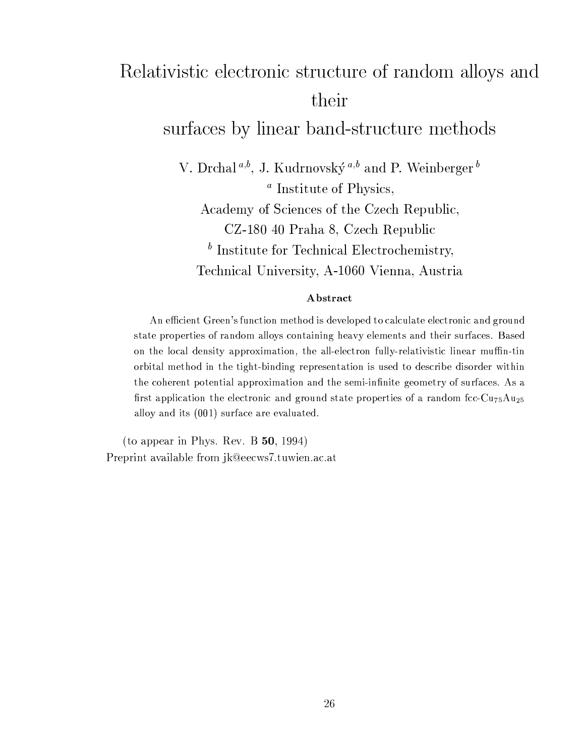# Relativistic electronic structure of random alloys and their

### surfaces by linear band-structure methods

V. Drchal<sup>a,b</sup>, J. Kudrnovský<sup>a,b</sup> and P. Weinberger<sup>b</sup>

 $a$  Institute of Physics,

Academy of Sciences of the Czech Republic,

CZ-180 40 Praha 8, Czech Republic

 $<sup>b</sup>$  Institute for Technical Electrochemistry,</sup>

Technical University, A-1060 Vienna, Austria

#### Abstract

An efficient Green's function method is developed to calculate electronic and ground state properties of random alloys containing heavy elements and their surfaces. Based on the local density approximation, the all-electron fully-relativistic linear muffin-tin orbital method in the tight-binding representation is used to describe disorder within the coherent potential approximation and the semi-infinite geometry of surfaces. As a first application the electronic and ground state properties of a random fcc- $Cu_{75}Au_{25}$ alloy and its (001) surface are evaluated.

(to appear in Phys. Rev. B  $50$ , 1994) Preprint available from ik@eecws7.tuwien.ac.at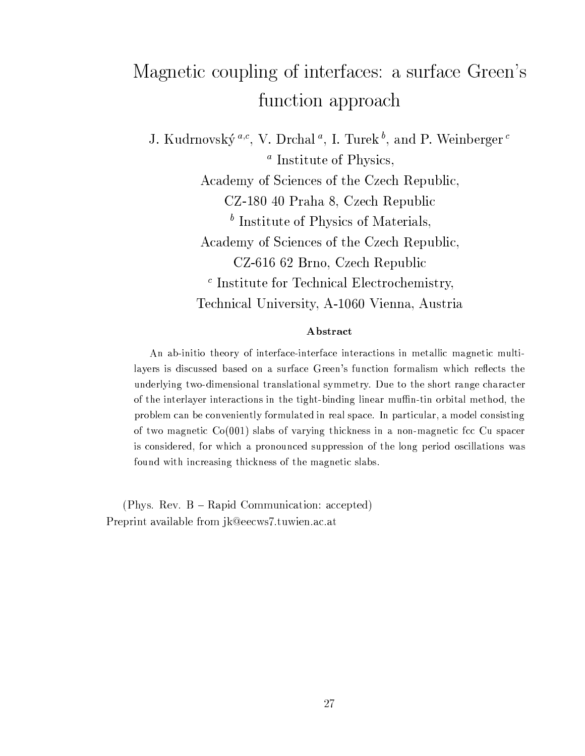# Magnetic coupling of interfaces: a surface Green's function approach

J. Kudrnovský<sup> $a,c$ </sup>, V. Drchal<sup>a</sup>, I. Turek<sup>b</sup>, and P. Weinberger<sup>c</sup>  $a$  Institute of Physics. Academy of Sciences of the Czech Republic, CZ-180 40 Praha 8, Czech Republic  $<sup>b</sup>$  Institute of Physics of Materials.</sup> Academy of Sciences of the Czech Republic, CZ-616 62 Brno, Czech Republic  $\epsilon$  Institute for Technical Electrochemistry, Technical University, A-1060 Vienna, Austria

#### Abstract

An ab-initio theory of interface-interface interactions in metallic magnetic multilayers is discussed based on a surface Green's function formalism which reflects the underlying two-dimensional translational symmetry. Due to the short range character of the interlayer interactions in the tight-binding linear muffin-tin orbital method, the problem can be conveniently formulated in real space. In particular, a model consisting of two magnetic  $Co(001)$  slabs of varying thickness in a non-magnetic fcc Cu spacer is considered, for which a pronounced suppression of the long period oscillations was found with increasing thickness of the magnetic slabs.

(Phys. Rev. B - Rapid Communication: accepted) Preprint available from jk@eecws7.tuwien.ac.at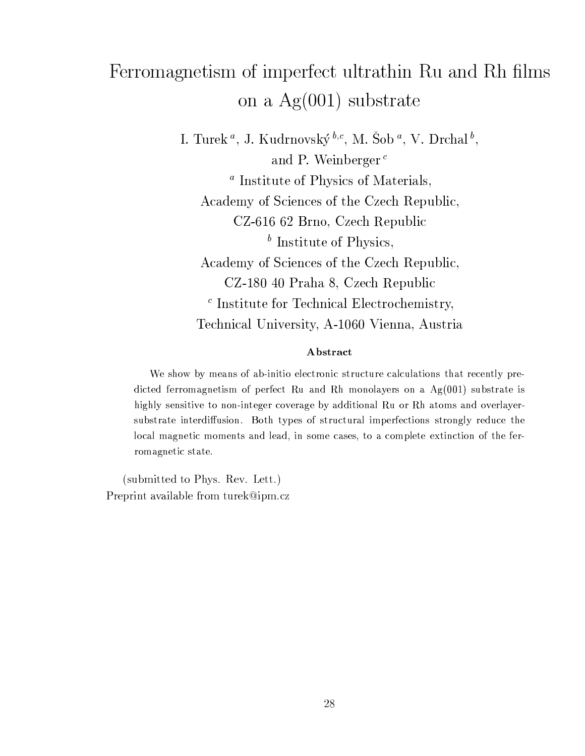# Ferromagnetism of imperfect ultrathin Ru and Rh films on a  $Ag(001)$  substrate

I. Turek<sup>*a*</sup>, J. Kudrnovský<sup> $b,c$ </sup>, M. Šob<sup>*a*</sup>, V. Drchal<sup>*b*</sup>, and P. Weinberger<sup> $c$ </sup> <sup>*a*</sup> Institute of Physics of Materials, Academy of Sciences of the Czech Republic, CZ-616 62 Brno, Czech Republic  $<sup>b</sup>$  Institute of Physics,</sup> Academy of Sciences of the Czech Republic, CZ-180 40 Praha 8, Czech Republic  $\epsilon$  Institute for Technical Electrochemistry, Technical University, A-1060 Vienna, Austria

#### Abstract

We show by means of ab-initio electronic structure calculations that recently predicted ferromagnetism of perfect Ru and Rh monolayers on a  $Ag(001)$  substrate is highly sensitive to non-integer coverage by additional Ru or Rh atoms and overlayersubstrate interdiffusion. Both types of structural imperfections strongly reduce the local magnetic moments and lead, in some cases, to a complete extinction of the ferromagnetic state.

(submitted to Phys. Rev. Lett.) Preprint available from turek@ipm.cz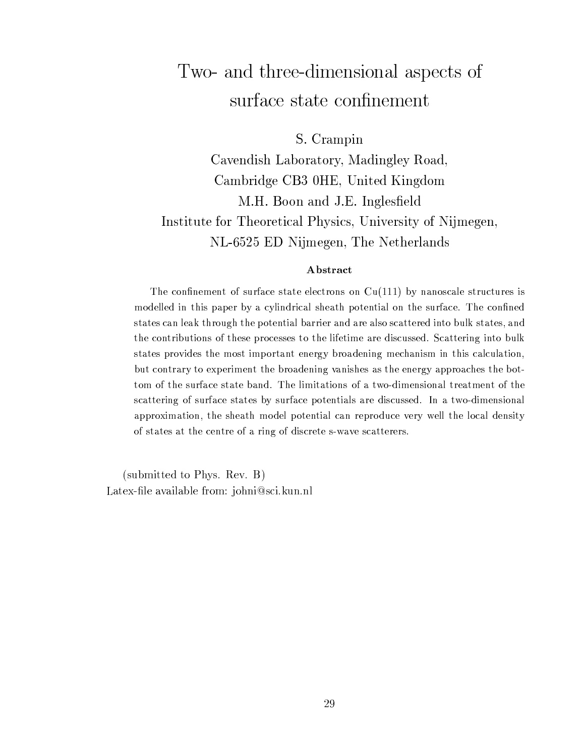### Two- and three-dimensional aspects of surface state confinement

S. Crampin

Cavendish Laboratory, Madingley Road, Cambridge CB3 0HE, United Kingdom M.H. Boon and J.E. Inglesfield Institute for Theoretical Physics, University of Nijmegen, NL-6525 ED Nijmegen, The Netherlands

#### A bstract

The confinement of surface state electrons on  $Cu(111)$  by nanoscale structures is modelled in this paper by a cylindrical sheath potential on the surface. The confined states can leak through the potential barrier and are also scattered into bulk states, and the contributions of these processes to the lifetime are discussed. Scattering into bulk states provides the most important energy broadening mechanism in this calculation, but contrary to experiment the broadening vanishes as the energy approaches the bottom of the surface state band. The limitations of a two-dimensional treatment of the scattering of surface states by surface potentials are discussed. In a two-dimensional approximation, the sheath model potential can reproduce very well the local density of states at the centre of a ring of discrete s-wave scatterers.

(submitted to Phys. Rev. B) Latex-file available from: johni@sci.kun.nl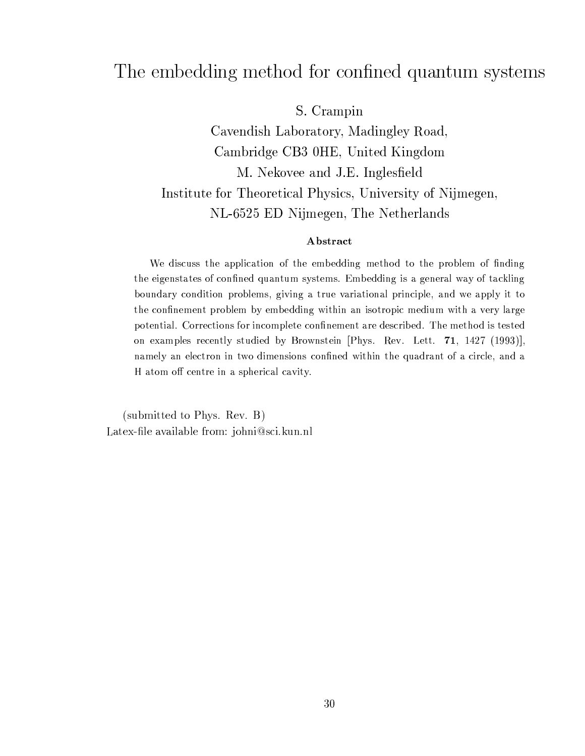### The embedding method for confined quantum systems

S. Crampin

Cavendish Laboratory, Madingley Road, Cambridge CB3 0HE, United Kingdom M. Nekovee and J.E. Inglesfield Institute for Theoretical Physics, University of Nijmegen, NL-6525 ED Nijmegen, The Netherlands

#### Abstract

We discuss the application of the embedding method to the problem of finding the eigenstates of confined quantum systems. Embedding is a general way of tackling boundary condition problems, giving a true variational principle, and we apply it to the confinement problem by embedding within an isotropic medium with a very large potential. Corrections for incomplete confinement are described. The method is tested on examples recently studied by Brownstein [Phys. Rev. Lett. 71, 1427 (1993)], namely an electron in two dimensions confined within the quadrant of a circle, and a H atom off centre in a spherical cavity.

(submitted to Phys. Rev. B) Latex-file available from: johni@sci.kun.nl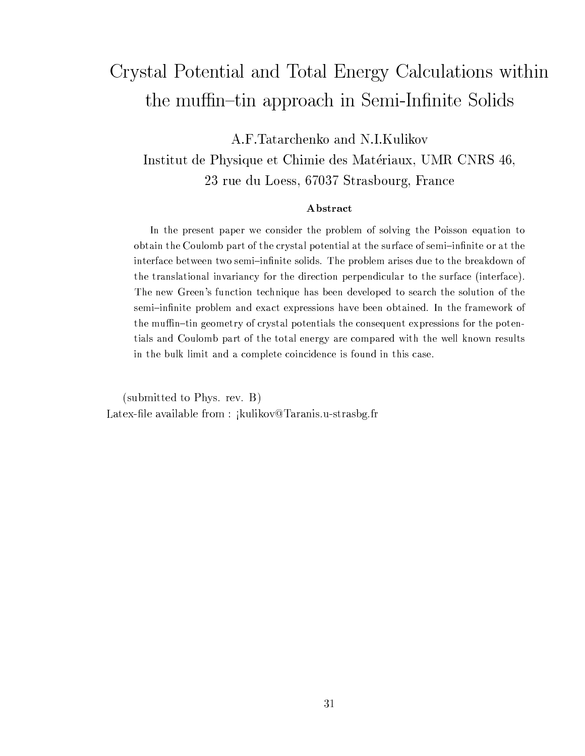# Crystal Potential and Total Energy Calculations within the muffin-tin approach in Semi-Infinite Solids

A.F.Tatarchenko and N.I.Kulikov Institut de Physique et Chimie des Matériaux, UMR CNRS 46, 23 rue du Loess, 67037 Strasbourg, France

#### Abstract

In the present paper we consider the problem of solving the Poisson equation to obtain the Coulomb part of the crystal potential at the surface of semi-infinite or at the interface between two semi-infinite solids. The problem arises due to the breakdown of the translational invariancy for the direction perpendicular to the surface (interface). The new Green's function technique has been developed to search the solution of the semi-infinite problem and exact expressions have been obtained. In the framework of the muffin-tin geometry of crystal potentials the consequent expressions for the potentials and Coulomb part of the total energy are compared with the well known results in the bulk limit and a complete coincidence is found in this case.

(submitted to Phys. rev. B) Latex-file available from: jkulikov@Taranis.u-strasbg.fr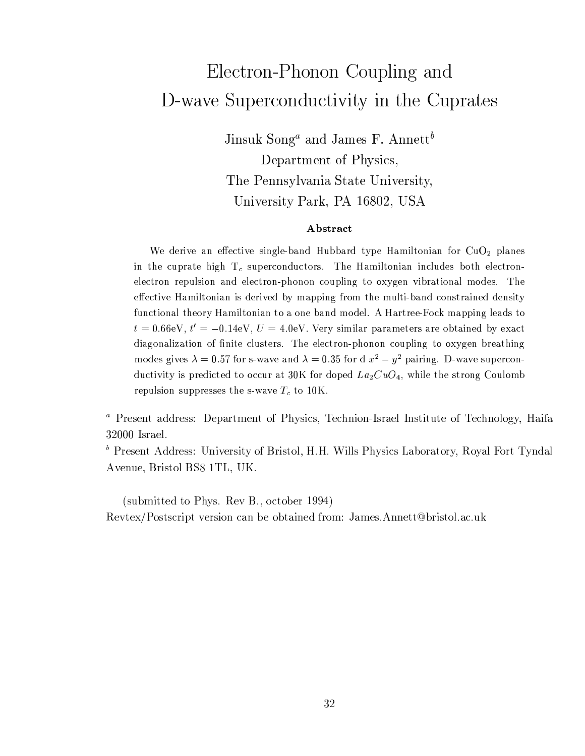# Electron-Phonon Coupling and D-wave Superconductivity in the Cuprates

Jinsuk Song<sup>a</sup> and James F. Annett<sup>b</sup> Department of Physics, The Pennsylvania State University, University Park, PA 16802, USA

#### Abstract

We derive an effective single-band Hubbard type Hamiltonian for  $CuO<sub>2</sub>$  planes in the cuprate high  $T_c$  superconductors. The Hamiltonian includes both electronelectron repulsion and electron-phonon coupling to oxygen vibrational modes. The effective Hamiltonian is derived by mapping from the multi-band constrained density functional theory Hamiltonian to a one band model. A Hartree-Fock mapping leads to  $t = 0.66$ eV,  $t' = -0.14$ eV,  $U = 4.0$ eV. Very similar parameters are obtained by exact diagonalization of finite clusters. The electron-phonon coupling to oxygen breathing modes gives  $\lambda = 0.57$  for s-wave and  $\lambda = 0.35$  for d  $x^2 - y^2$  pairing. D-wave superconductivity is predicted to occur at 30K for doped  $La_2CuO_4$ , while the strong Coulomb repulsion suppresses the s-wave  $T_c$  to 10K.

<sup>a</sup> Present address: Department of Physics, Technion-Israel Institute of Technology, Haifa 32000 Israel.

<sup>b</sup> Present Address: University of Bristol, H.H. Wills Physics Laboratory, Royal Fort Tyndal Avenue, Bristol BS8 1TL, UK.

(submitted to Phys. Rev B., october 1994) Revtex/Postscript version can be obtained from: James.Annett@bristol.ac.uk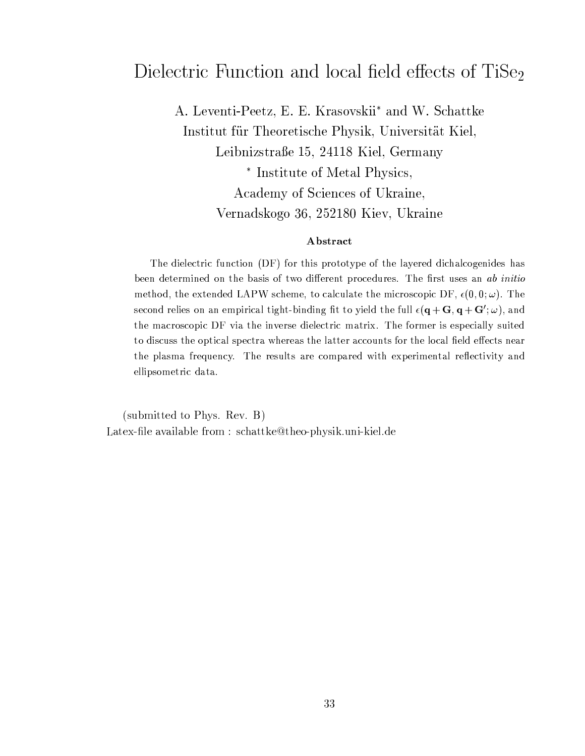### Dielectric Function and local field effects of TiSe<sub>2</sub>

A. Leventi-Peetz, E. E. Krasovskii\* and W. Schattke Institut für Theoretische Physik, Universität Kiel, Leibnizstraße 15, 24118 Kiel, Germany \* Institute of Metal Physics, Academy of Sciences of Ukraine, Vernadskogo 36, 252180 Kiev, Ukraine

#### Abstract

The dielectric function (DF) for this prototype of the layered dichalcogenides has been determined on the basis of two different procedures. The first uses an ab initio method, the extended LAPW scheme, to calculate the microscopic DF,  $\epsilon(0,0;\omega)$ . The second relies on an empirical tight-binding fit to yield the full  $\epsilon(\mathbf{q} + \mathbf{G}, \mathbf{q} + \mathbf{G}'; \omega)$ , and the macroscopic DF via the inverse dielectric matrix. The former is especially suited to discuss the optical spectra whereas the latter accounts for the local field effects near the plasma frequency. The results are compared with experimental reflectivity and ellipsometric data.

(submitted to Phys. Rev. B) Latex-file available from: schattke@theo-physik.uni-kiel.de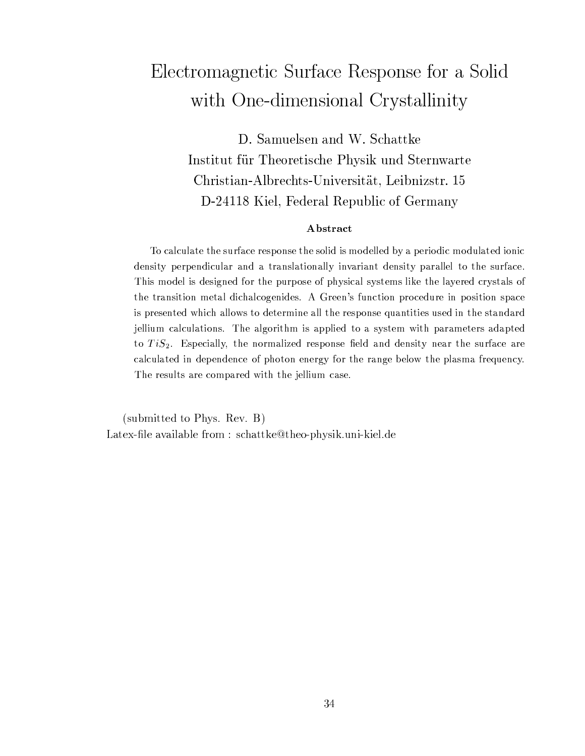## Electromagnetic Surface Response for a Solid with One-dimensional Crystallinity

D. Samuelsen and W. Schattke Institut für Theoretische Physik und Sternwarte Christian-Albrechts-Universität, Leibnizstr. 15 D-24118 Kiel, Federal Republic of Germany

#### Abstract

To calculate the surface response the solid is modelled by a periodic modulated ionic density perpendicular and a translationally invariant density parallel to the surface. This model is designed for the purpose of physical systems like the layered crystals of the transition metal dichalcogenides. A Green's function procedure in position space is presented which allows to determine all the response quantities used in the standard jellium calculations. The algorithm is applied to a system with parameters adapted to  $TiS_2$ . Especially, the normalized response field and density near the surface are calculated in dependence of photon energy for the range below the plasma frequency. The results are compared with the jellium case.

(submitted to Phys. Rev. B) Latex-file available from: schattke@theo-physik.uni-kiel.de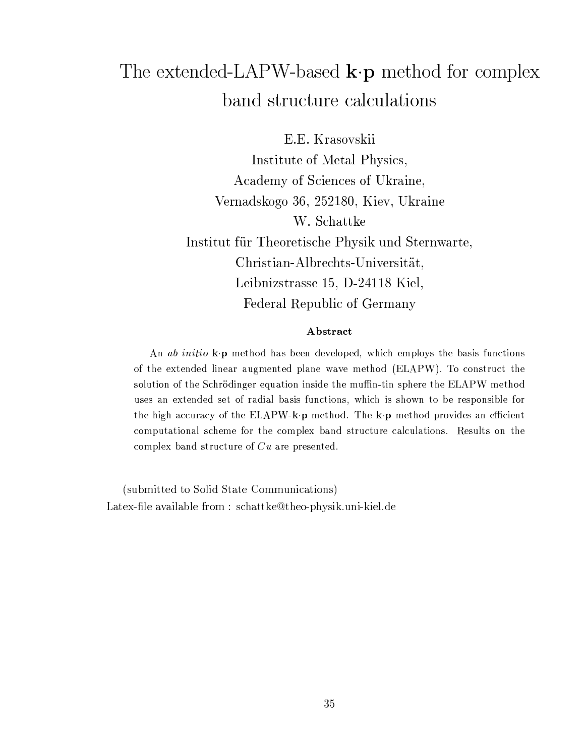## The extended-LAPW-based  $\mathbf{k} \cdot \mathbf{p}$  method for complex band structure calculations

E.E. Krasovskii Institute of Metal Physics, Academy of Sciences of Ukraine, Vernadskogo 36, 252180, Kiev, Ukraine W. Schattke Institut für Theoretische Physik und Sternwarte, Christian-Albrechts-Universität, Leibnizstrasse 15, D-24118 Kiel, Federal Republic of Germany

#### Abstract

An *ab initio* k.p method has been developed, which employs the basis functions of the extended linear augmented plane wave method (ELAPW). To construct the solution of the Schrödinger equation inside the muffin-tin sphere the ELAPW method uses an extended set of radial basis functions, which is shown to be responsible for the high accuracy of the ELAPW-k **p** method. The k **p** method provides an efficient computational scheme for the complex band structure calculations. Results on the complex band structure of  $Cu$  are presented.

(submitted to Solid State Communications) Latex-file available from :  $\text{schattke@theo-physik.uni-kiel.de}$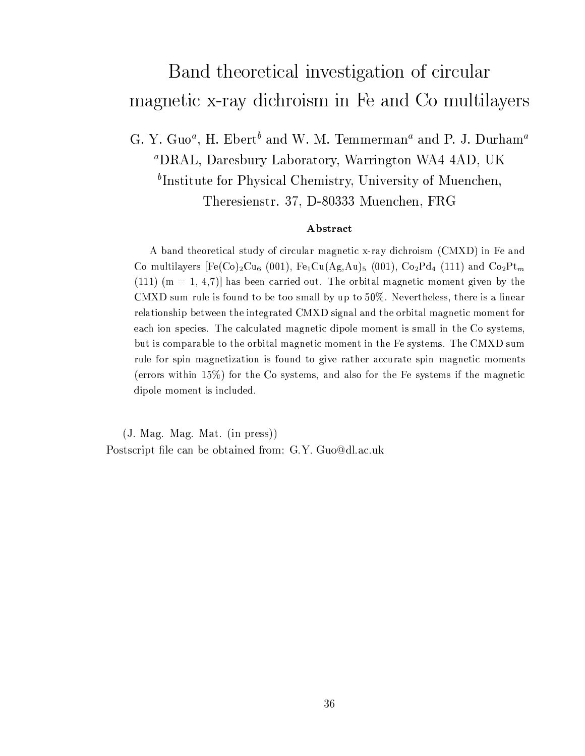## Band theoretical investigation of circular magnetic x-ray dichroism in Fe and Co multilayers

G. Y. Guo<sup>a</sup>, H. Ebert<sup>b</sup> and W. M. Temmerman<sup>a</sup> and P. J. Durham<sup>a</sup> <sup>a</sup>DRAL, Daresbury Laboratory, Warrington WA4 4AD, UK <sup>b</sup>Institute for Physical Chemistry, University of Muenchen, Theresienstr. 37, D-80333 Muenchen, FRG

#### Abstract

A band theoretical study of circular magnetic x-ray dichroism (CMXD) in Fe and Co multilayers [Fe(Co)<sub>2</sub>Cu<sub>6</sub> (001), Fe<sub>1</sub>Cu(Ag,Au)<sub>5</sub> (001), Co<sub>2</sub>Pd<sub>4</sub> (111) and Co<sub>2</sub>Pt<sub>m</sub>  $(111)$  (m = 1, 4,7) has been carried out. The orbital magnetic moment given by the CMXD sum rule is found to be too small by up to  $50\%$ . Nevertheless, there is a linear relationship between the integrated CMXD signal and the orbital magnetic moment for each ion species. The calculated magnetic dipole moment is small in the Co systems, but is comparable to the orbital magnetic moment in the Fe systems. The CMXD sum rule for spin magnetization is found to give rather accurate spin magnetic moments (errors within  $15\%$ ) for the Co systems, and also for the Fe systems if the magnetic dipole moment is included.

(J. Mag. Mag. Mat. (in press)) Postscript file can be obtained from: G.Y. Guo@dl.ac.uk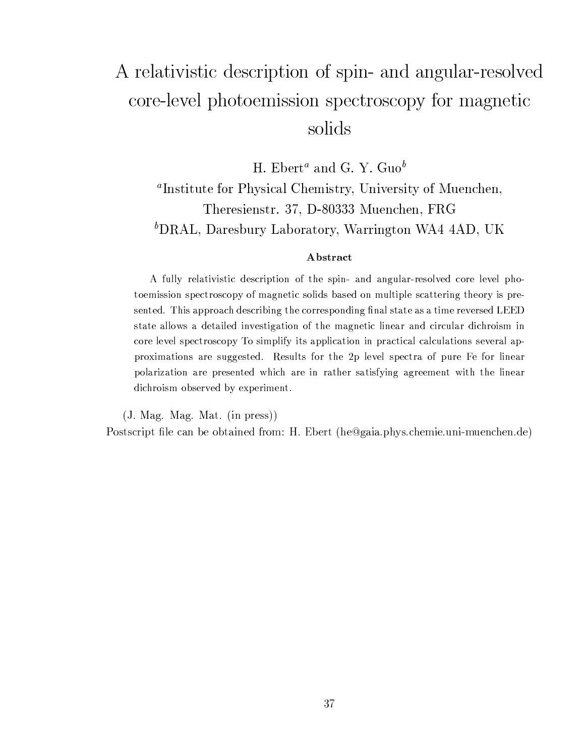# A relativistic description of spin- and angular-resolved core-level photoemission spectroscopy for magnetic solids

H. Ebert<sup>a</sup> and G. Y. Guo<sup>b</sup>

<sup>a</sup>Institute for Physical Chemistry, University of Muenchen, Theresienstr. 37, D-80333 Muenchen, FRG <sup>b</sup>DRAL, Daresbury Laboratory, Warrington WA4 4AD, UK

#### Abstract

A fully relativistic description of the spin- and angular-resolved core level photoemission spectroscopy of magnetic solids based on multiple scattering theory is presented. This approach describing the corresponding final state as a time reversed LEED state allows a detailed investigation of the magnetic linear and circular dichroism in core level spectroscopy To simplify its application in practical calculations several approximations are suggested. Results for the 2p level spectra of pure Fe for linear polarization are presented which are in rather satisfying agreement with the linear dichroism observed by experiment.

 $(J. Mag. Mag. Mat. (in press))$ Postscript file can be obtained from: H. Ebert (he@gaia.phys.chemie.uni-muenchen.de)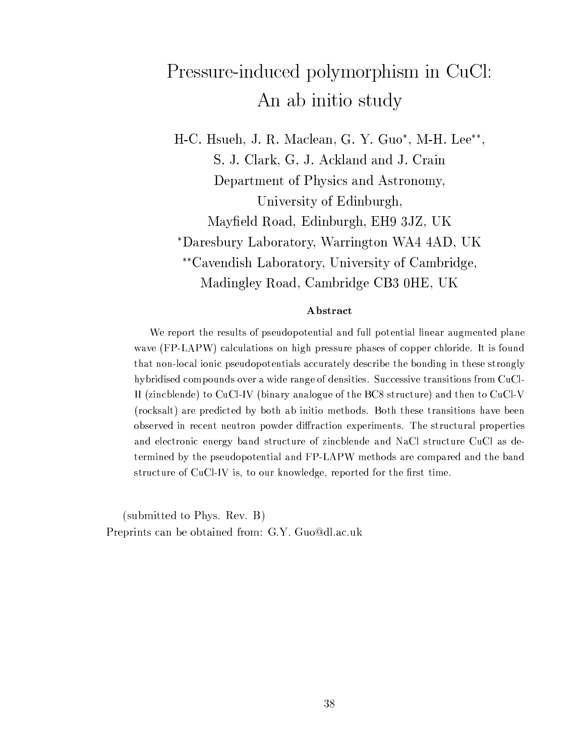# Pressure-induced polymorphism in CuCl: An ab initio study

H-C. Hsueh, J. R. Maclean, G. Y. Guo\*, M-H. Lee\*\*, S. J. Clark, G. J. Ackland and J. Crain Department of Physics and Astronomy, University of Edinburgh, Mayfield Road, Edinburgh, EH9 3JZ, UK \*Daresbury Laboratory, Warrington WA4 4AD, UK \*\*Cavendish Laboratory, University of Cambridge, Madingley Road, Cambridge CB3 0HE, UK

#### Abstract

We report the results of pseudopotential and full potential linear augmented plane wave (FP-LAPW) calculations on high pressure phases of copper chloride. It is found that non-local ionic pseudopotentials accurately describe the bonding in these strongly hybridised compounds over a wide range of densities. Successive transitions from CuCl-II (zincblende) to CuCl-IV (binary analogue of the BC8 structure) and then to CuCl-V (rocksalt) are predicted by both ab initio methods. Both these transitions have been observed in recent neutron powder diffraction experiments. The structural properties and electronic energy band structure of zincblende and NaCl structure CuCl as determined by the pseudopotential and FP-LAPW methods are compared and the band structure of CuCl-IV is, to our knowledge, reported for the first time.

(submitted to Phys. Rev. B) Preprints can be obtained from: G.Y. Guo@dl.ac.uk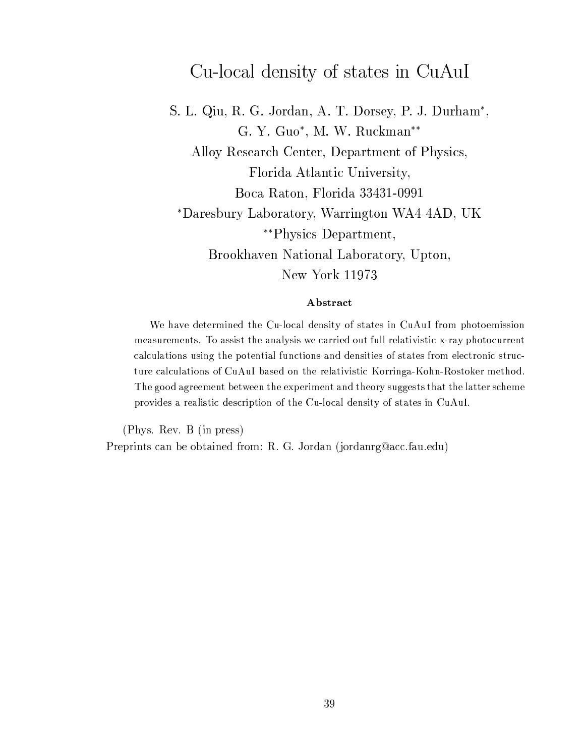### Cu-local density of states in CuAuI

S. L. Qiu, R. G. Jordan, A. T. Dorsey, P. J. Durham\*, G. Y. Guo\*, M. W. Ruckman\*\* Alloy Research Center, Department of Physics, Florida Atlantic University, Boca Raton, Florida 33431-0991 \*Daresbury Laboratory, Warrington WA4 4AD, UK *\*\**Physics Department, Brookhaven National Laboratory, Upton, New York 11973

#### Abstract

We have determined the Cu-local density of states in CuAuI from photoemission measurements. To assist the analysis we carried out full relativistic x-ray photocurrent calculations using the potential functions and densities of states from electronic structure calculations of CuAuI based on the relativistic Korringa-Kohn-Rostoker method. The good agreement between the experiment and theory suggests that the latter scheme provides a realistic description of the Cu-local density of states in CuAuI.

(Phys. Rev. B (in press) Preprints can be obtained from: R. G. Jordan (jordanrg@acc.fau.edu)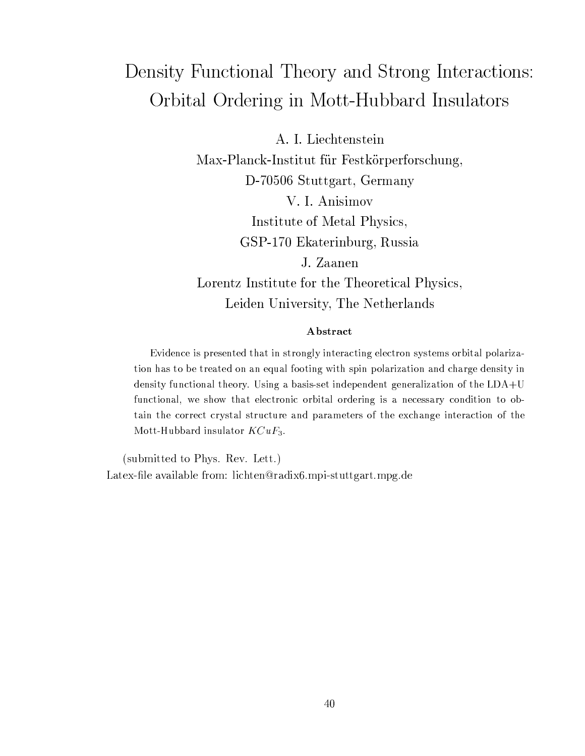## Density Functional Theory and Strong Interactions: Orbital Ordering in Mott-Hubbard Insulators

A. I. Liechtenstein

Max-Planck-Institut für Festkörperforschung,

D-70506 Stuttgart, Germany

V. I. Anisimov

Institute of Metal Physics,

GSP-170 Ekaterinburg, Russia

J. Zaanen

Lorentz Institute for the Theoretical Physics, Leiden University, The Netherlands

#### Abstract

Evidence is presented that in strongly interacting electron systems orbital polarization has to be treated on an equal footing with spin polarization and charge density in density functional theory. Using a basis-set independent generalization of the  $LDA+U$ functional, we show that electronic orbital ordering is a necessary condition to obtain the correct crystal structure and parameters of the exchange interaction of the Mott-Hubbard insulator  $KCuF_3$ .

(submitted to Phys. Rev. Lett.) Latex-file available from: lichten@radix6.mpi-stuttgart.mpg.de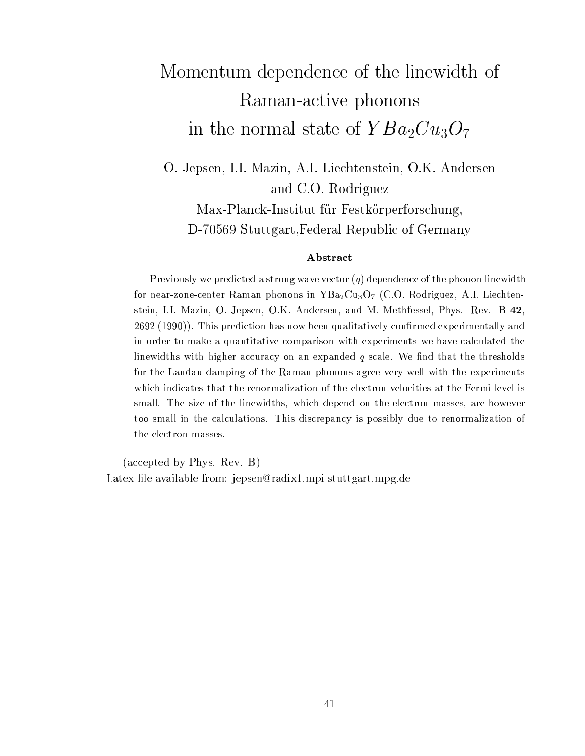# Momentum dependence of the linewidth of Raman-active phonons in the normal state of  $YBa<sub>2</sub>Cu<sub>3</sub>O<sub>7</sub>$

O. Jepsen, I.I. Mazin, A.I. Liechtenstein, O.K. Andersen and C.O. Rodriguez Max-Planck-Institut für Festkörperforschung, D-70569 Stuttgart, Federal Republic of Germany

#### Abstract

Previously we predicted a strong wave vector  $(q)$  dependence of the phonon linewidth for near-zone-center Raman phonons in  $YBa_2Cu_3O_7$  (C.O. Rodriguez, A.I. Liechtenstein, I.I. Mazin, O. Jepsen, O.K. Andersen, and M. Methfessel, Phys. Rev. B 42, 2692 (1990)). This prediction has now been qualitatively confirmed experimentally and in order to make a quantitative comparison with experiments we have calculated the linewidths with higher accuracy on an expanded  $q$  scale. We find that the thresholds for the Landau damping of the Raman phonons agree very well with the experiments which indicates that the renormalization of the electron velocities at the Fermi level is small. The size of the linewidths, which depend on the electron masses, are however too small in the calculations. This discrepancy is possibly due to renormalization of the electron masses.

(accepted by Phys. Rev. B) Latex-file available from: jepsen@radix1.mpi-stuttgart.mpg.de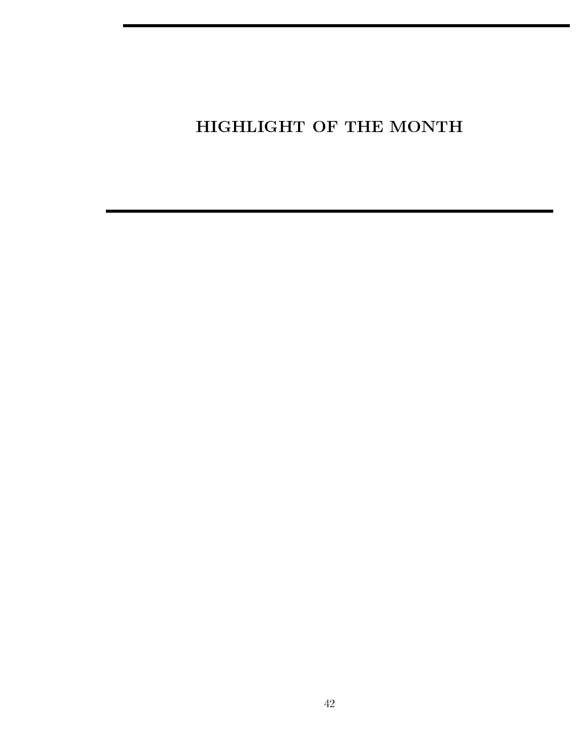### HIGHLIGHT OF THE MONTH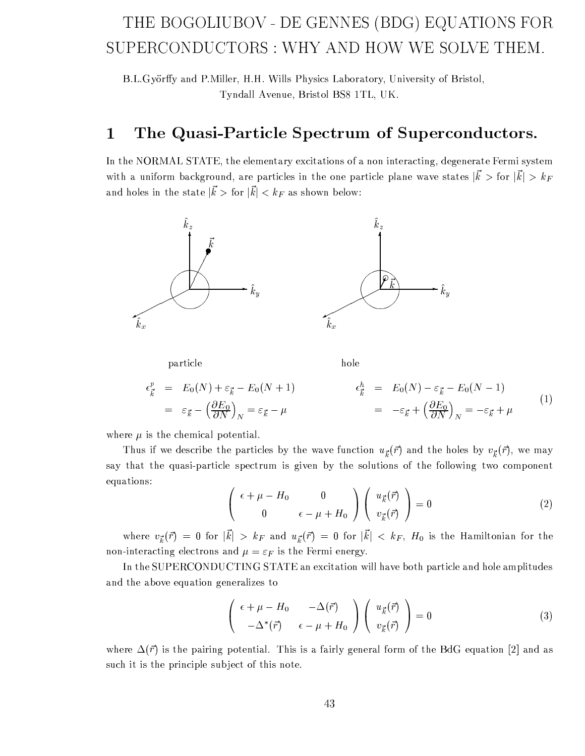### THE BOGOLIUBOV - DE GENNES (BDG) EQUATIONS FOR SUPERCONDUCTORS: WHY AND HOW WE SOLVE THEM.

B.L.Györffy and P.Miller, H.H. Wills Physics Laboratory, University of Bristol, Tyndall Avenue, Bristol BS8 1TL, UK.

#### The Quasi-Particle Spectrum of Superconductors.  $\mathbf 1$

In the NORMAL STATE, the elementary excitations of a non interacting, degenerate Fermi system with a uniform background, are particles in the one particle plane wave states  $|k\rangle$  for  $|k\rangle > k_F$ and holes in the state  $|\vec{k}\rangle$  for  $|\vec{k}| < k_F$  as shown below:



particle

hole

$$
\epsilon_{\vec{k}}^p = E_0(N) + \varepsilon_{\vec{k}} - E_0(N+1) \qquad \epsilon_{\vec{k}}^h = E_0(N) - \varepsilon_{\vec{k}} - E_0(N-1) \n= \varepsilon_{\vec{k}} - \left(\frac{\partial E_0}{\partial N}\right)_N = \varepsilon_{\vec{k}} - \mu \qquad \qquad = -\varepsilon_{\vec{k}} + \left(\frac{\partial E_0}{\partial N}\right)_N = -\varepsilon_{\vec{k}} + \mu \qquad (1)
$$

where  $\mu$  is the chemical potential.

Thus if we describe the particles by the wave function  $u_{\vec{k}}(\vec{r})$  and the holes by  $v_{\vec{k}}(\vec{r})$ , we may say that the quasi-particle spectrum is given by the solutions of the following two component equations:

$$
\begin{pmatrix}\n\epsilon + \mu - H_0 & 0 \\
0 & \epsilon - \mu + H_0\n\end{pmatrix}\n\begin{pmatrix}\nu_{\vec{k}}(\vec{r}) \\
v_{\vec{k}}(\vec{r})\n\end{pmatrix} = 0
$$
\n(2)

where  $v_{\vec{k}}(\vec{r}) = 0$  for  $|\vec{k}| > k_F$  and  $u_{\vec{k}}(\vec{r}) = 0$  for  $|\vec{k}| < k_F$ ,  $H_0$  is the Hamiltonian for the non-interacting electrons and  $\mu = \varepsilon_F$  is the Fermi energy.

In the SUPERCONDUCTING STATE an excitation will have both particle and hole amplitudes and the above equation generalizes to

$$
\begin{pmatrix}\n\epsilon + \mu - H_0 & -\Delta(\vec{r}) \\
-\Delta^*(\vec{r}) & \epsilon - \mu + H_0\n\end{pmatrix}\n\begin{pmatrix}\nu_{\vec{k}}(\vec{r}) \\
v_{\vec{k}}(\vec{r})\n\end{pmatrix} = 0
$$
\n(3)

where  $\Delta(\vec{r})$  is the pairing potential. This is a fairly general form of the BdG equation [2] and as such it is the principle subject of this note.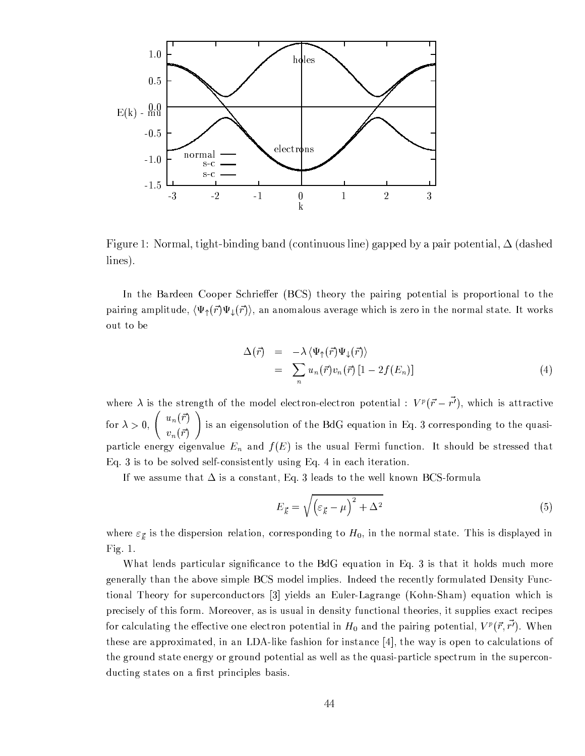

Figure 1: Normal, tight-binding band (continuous line) gapped by a pair potential,  $\Delta$  (dashed  $lines).$ 

In the Bardeen Cooper Schrieffer (BCS) theory the pairing potential is proportional to the pairing amplitude,  $\langle \Psi_{\uparrow}(\vec{r}) \Psi_{\downarrow}(\vec{r}) \rangle$ , an anomalous average which is zero in the normal state. It works out to be

$$
\Delta(\vec{r}) = -\lambda \langle \Psi_{\uparrow}(\vec{r}) \Psi_{\downarrow}(\vec{r}) \rangle \n= \sum_{n} u_{n}(\vec{r}) v_{n}(\vec{r}) [1 - 2f(E_{n})]
$$
\n(4)

where  $\lambda$  is the strength of the model electron-electron potential :  $V^p(\vec{r}-\vec{r'})$ , which is attractive for  $\lambda > 0$ ,  $\begin{pmatrix} u_n(\vec{r}) \\ v_n(\vec{r}) \end{pmatrix}$  is an eigensolution of the BdG equation in Eq. 3 corresponding to the quasiparticle energy eigenvalue  $E_n$  and  $f(E)$  is the usual Fermi function. It should be stressed that Eq. 3 is to be solved self-consistently using Eq. 4 in each iteration.

If we assume that  $\Delta$  is a constant, Eq. 3 leads to the well known BCS-formula

$$
E_{\vec{k}} = \sqrt{\left(\varepsilon_{\vec{k}} - \mu\right)^2 + \Delta^2} \tag{5}
$$

where  $\varepsilon_{\vec{k}}$  is the dispersion relation, corresponding to  $H_0$ , in the normal state. This is displayed in Fig.  $1$ .

What lends particular significance to the BdG equation in Eq. 3 is that it holds much more generally than the above simple BCS model implies. Indeed the recently formulated Density Functional Theory for superconductors [3] yields an Euler-Lagrange (Kohn-Sham) equation which is precisely of this form. Moreover, as is usual in density functional theories, it supplies exact recipes for calculating the effective one electron potential in  $H_0$  and the pairing potential,  $V^p(\vec{r},\vec{r'})$ . When these are approximated, in an LDA-like fashion for instance [4], the way is open to calculations of the ground state energy or ground potential as well as the quasi-particle spectrum in the superconducting states on a first principles basis.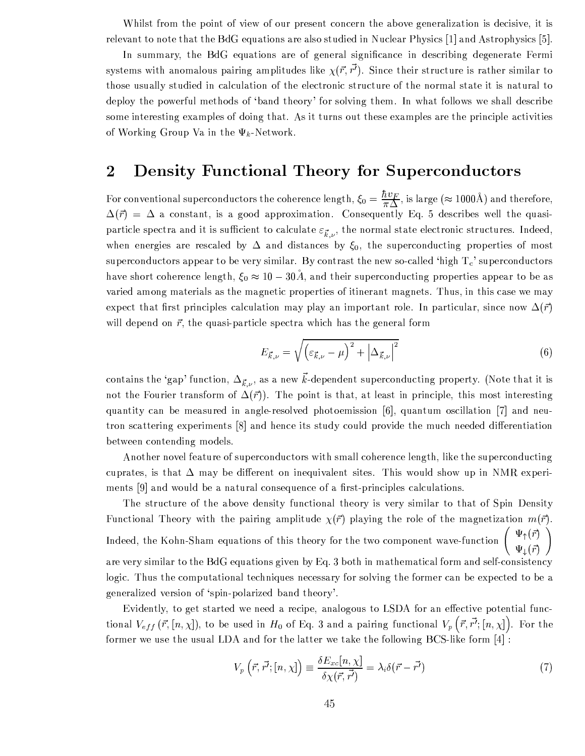Whilst from the point of view of our present concern the above generalization is decisive, it is relevant to note that the BdG equations are also studied in Nuclear Physics [1] and Astrophysics [5].

In summary, the BdG equations are of general significance in describing degenerate Fermi systems with anomalous pairing amplitudes like  $\chi(\vec{r}, \vec{r'})$ . Since their structure is rather similar to those usually studied in calculation of the electronic structure of the normal state it is natural to deploy the powerful methods of 'band theory' for solving them. In what follows we shall describe some interesting examples of doing that. As it turns out these examples are the principle activities of Working Group Va in the  $\Psi_k$ -Network.

#### $\overline{2}$ **Density Functional Theory for Superconductors**

For conventional superconductors the coherence length,  $\xi_0 = \frac{\hbar v_F}{\pi \Delta}$ , is large ( $\approx 1000\text{\AA}$ ) and therefore,  $\Delta(\vec{r}) = \Delta$  a constant, is a good approximation. Consequently Eq. 5 describes well the quasiparticle spectra and it is sufficient to calculate  $\varepsilon_{\vec{k},v}$ , the normal state electronic structures. Indeed, when energies are rescaled by  $\Delta$  and distances by  $\xi_0$ , the superconducting properties of most superconductors appear to be very similar. By contrast the new so-called 'high  $T_c$ ' superconductors have short coherence length,  $\xi_0 \approx 10 - 30\text{\AA}$ , and their superconducting properties appear to be as varied among materials as the magnetic properties of itinerant magnets. Thus, in this case we may expect that first principles calculation may play an important role. In particular, since now  $\Delta(\vec{r})$ will depend on  $\vec{r}$ , the quasi-particle spectra which has the general form

$$
E_{\vec{k},\nu} = \sqrt{\left(\varepsilon_{\vec{k},\nu} - \mu\right)^2 + \left|\Delta_{\vec{k},\nu}\right|^2} \tag{6}
$$

contains the 'gap' function,  $\Delta_{\vec{k},\nu}$ , as a new  $\vec{k}$ -dependent superconducting property. (Note that it is not the Fourier transform of  $\Delta(\vec{r})$ . The point is that, at least in principle, this most interesting quantity can be measured in angle-resolved photoemission [6], quantum oscillation [7] and neutron scattering experiments [8] and hence its study could provide the much needed differentiation between contending models.

Another novel feature of superconductors with small coherence length, like the superconducting cuprates, is that  $\Delta$  may be different on inequivalent sites. This would show up in NMR experiments [9] and would be a natural consequence of a first-principles calculations.

The structure of the above density functional theory is very similar to that of Spin Density Functional Theory with the pairing amplitude  $\chi(\vec{r})$  playing the role of the magnetization  $m(\vec{r})$ . Indeed, the Kohn-Sham equations of this theory for the two component wave-function  $\begin{pmatrix} \Psi_{\uparrow}(\vec{r}) \\ \Psi_{\downarrow}(\vec{r}) \end{pmatrix}$ are very similar to the BdG equations given by Eq. 3 both in mathematical form and self-consistency logic. Thus the computational techniques necessary for solving the former can be expected to be a generalized version of 'spin-polarized band theory'.

Evidently, to get started we need a recipe, analogous to LSDA for an effective potential functional  $V_{eff}(\vec{r}, [n, \chi])$ , to be used in  $H_0$  of Eq. 3 and a pairing functional  $V_p(\vec{r}, \vec{r'}; [n, \chi])$ . For the former we use the usual LDA and for the latter we take the following BCS-like form [4]:

$$
V_p\left(\vec{r},\vec{r'};[n,\chi]\right) \equiv \frac{\delta E_{xc}[n,\chi]}{\delta \chi(\vec{r},\vec{r'})} = \lambda_i \delta(\vec{r}-\vec{r'}) \tag{7}
$$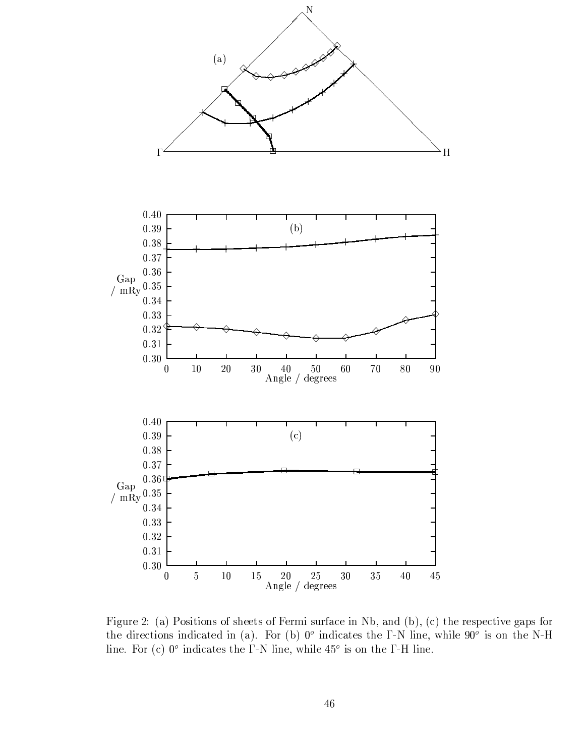

Figure 2: (a) Positions of sheets of Fermi surface in Nb, and (b), (c) the respective gaps for the directions indicated in (a). For (b)  $0^{\circ}$  indicates the  $\Gamma$ -N line, while  $90^{\circ}$  is on the N-H line. For (c)  $0^{\circ}$  indicates the  $\Gamma$ -N line, while  $45^{\circ}$  is on the  $\Gamma$ -H line.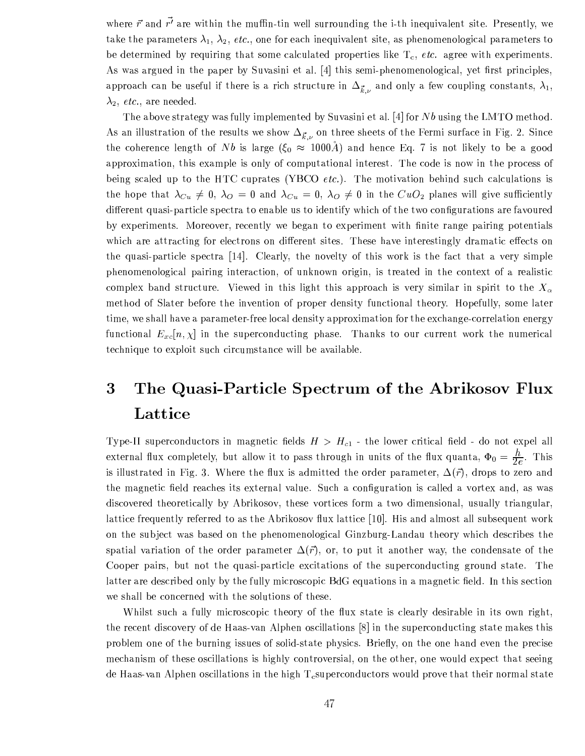where  $\vec{r}$  and  $\vec{r'}$  are within the muffin-tin well surrounding the i-th inequivalent site. Presently, we take the parameters  $\lambda_1$ ,  $\lambda_2$ , etc., one for each inequivalent site, as phenomenological parameters to be determined by requiring that some calculated properties like  $T_c$ , etc. agree with experiments. As was argued in the paper by Suvasini et al. [4] this semi-phenomenological, yet first principles, approach can be useful if there is a rich structure in  $\Delta_{\vec{k},\nu}$  and only a few coupling constants,  $\lambda_1$ ,  $\lambda_2$ , *etc.*, are needed.

The above strategy was fully implemented by Suvasini et al. [4] for  $Nb$  using the LMTO method. As an illustration of the results we show  $\Delta_{\vec{k},\nu}$  on three sheets of the Fermi surface in Fig. 2. Since the coherence length of Nb is large  $(\xi_0 \approx 1000\text{Å})$  and hence Eq. 7 is not likely to be a good approximation, this example is only of computational interest. The code is now in the process of being scaled up to the HTC cuprates (YBCO *etc.*). The motivation behind such calculations is the hope that  $\lambda_{Cu} \neq 0$ ,  $\lambda_{O} = 0$  and  $\lambda_{Cu} = 0$ ,  $\lambda_{O} \neq 0$  in the  $CuO<sub>2</sub>$  planes will give sufficiently different quasi-particle spectra to enable us to identify which of the two configurations are favoured by experiments. Moreover, recently we began to experiment with finite range pairing potentials which are attracting for electrons on different sites. These have interestingly dramatic effects on the quasi-particle spectra [14]. Clearly, the novelty of this work is the fact that a very simple phenomenological pairing interaction, of unknown origin, is treated in the context of a realistic complex band structure. Viewed in this light this approach is very similar in spirit to the  $X_{\alpha}$ method of Slater before the invention of proper density functional theory. Hopefully, some later time, we shall have a parameter-free local density approximation for the exchange-correlation energy functional  $E_{xc}[n, \chi]$  in the superconducting phase. Thanks to our current work the numerical technique to exploit such circumstance will be available.

#### The Quasi-Particle Spectrum of the Abrikosov Flux 3 Lattice

Type-II superconductors in magnetic fields  $H > H_{c1}$  - the lower critical field - do not expel all external flux completely, but allow it to pass through in units of the flux quanta,  $\Phi_0 = \frac{\hbar}{2e}$ . This is illustrated in Fig. 3. Where the flux is admitted the order parameter,  $\Delta(\vec{r})$ , drops to zero and the magnetic field reaches its external value. Such a configuration is called a vortex and, as was discovered theoretically by Abrikosov, these vortices form a two dimensional, usually triangular, lattice frequently referred to as the Abrikosov flux lattice [10]. His and almost all subsequent work on the subject was based on the phenomenological Ginzburg-Landau theory which describes the spatial variation of the order parameter  $\Delta(\vec{r})$ , or, to put it another way, the condensate of the Cooper pairs, but not the quasi-particle excitations of the superconducting ground state. The latter are described only by the fully microscopic BdG equations in a magnetic field. In this section we shall be concerned with the solutions of these.

Whilst such a fully microscopic theory of the flux state is clearly desirable in its own right, the recent discovery of de Haas-van Alphen oscillations [8] in the superconducting state makes this problem one of the burning issues of solid-state physics. Briefly, on the one hand even the precise mechanism of these oscillations is highly controversial, on the other, one would expect that seeing de Haas-van Alphen oscillations in the high  $T_c$ superconductors would prove that their normal state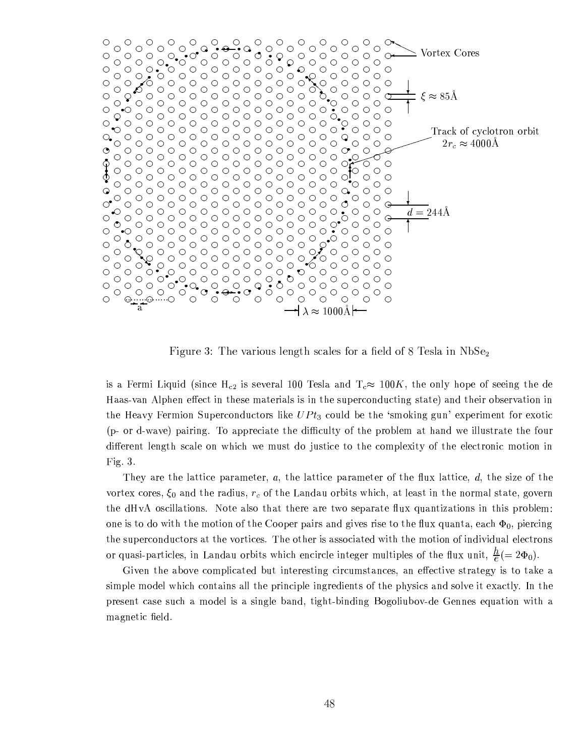

moraties and the finite and the studio and the final studio and in the final final final final final final final final final final final final final final final final final final final final final final final final final f

 $\cdot$  in  $\cdot$  if  $\cdot$  in  $\cdot$  in  $\cdot$  in  $\cdot$  in  $\cdot$  in  $\cdot$  in  $\cdot$  in  $\cdot$  in  $\cdot$  in  $\cdot$  in  $\cdot$  in  $\cdot$  in  $\cdot$  in  $\cdot$  in  $\cdot$  in  $\cdot$  in  $\cdot$  in  $\cdot$  in  $\cdot$  in  $\cdot$  in  $\cdot$  in  $\cdot$  in  $\cdot$  in  $\cdot$  in  $\cdot$  in  $\cdot$  û«oÚ Þ£¢¥Ö ¦£{¦¦ Ø × £ Ø¿Ö ¦©«h¦ Ø ¦ª × ¥§« ×« ×£ Ø´Ö ¦«<sup>Ù</sup> ¦ªÜI£ ¨Ù ØE× £/¤«Ø Ø ¦ù £ ¨ Ø¿Ö ¦ × ªNܬ«E¦ªÞ ØE×ÜI£ × £  $\mathcal{W}^{\bullet}$  is the finite interval in the field of a contributed in the contribution of a contribution of the contribution of the contribution of the contribution of the contribution of the contribution of the contributi (n and weys) noising. To ennopiate the difficulty of the problem of bend we illustrate the four ¨ ×¦ªo¦£Ø ¥§¦£/¤Ø¿Ö «¥§¦pÜ/£ ÕÖ/×Ö Õ¦ Ù « Ø ¨ <sup>Ü</sup> , <sup>Ù</sup> « ØE×¦ Ø <sup>Ü</sup> Ø¿Ö ¦ <sup>Ü</sup>¥§¦©ë×§Ø¡ ÜÄè Ø¿Ö ¦¦©¥§¦ Ø ªoÜI£ × Ü ØE×ÜI£ × £ Fig.  $3$ .

They are the lattice parameter, a, the lattice parameter of the flux lattice, d, the size of the worter eenes,  $\zeta$  and the nedius  $x$  of the Landeu enhite which at least in the normal state, gevenne the dHvA oscillations. Note also that there are two separate flux quantizations in this problem:  $\mathcal{P}$  and  $\mathcal{P}$  and  $\mathcal{P}$  is the set of  $\mathcal{P}$  and  $\mathcal{P}$  is the set of  $\mathcal{P}$ <u>v</u>ie is a die van die verden vie in die staat die van die van die van die van die van die van die van die van die or quest particles in Landau orbits which oncircle integer multiples of the flux unit  $h$  ( $\rightarrow$  36.)

.×§Þ¦£ Ø¿Ö ¦ ¬ ÜÞ¦ <sup>Ü</sup>¥ ×Ø ¦¨ <sup>¬</sup><sup>Ù</sup> Øe× £ Ø ¦ªo¦©«ØE× £/¤ × ªÙM« Ø £ ¦©« <sup>á</sup> £V¦¦ ØE×§Þ¦\$«Ø ª Ø ¦©¤¡ × « Ø <sup>Ü</sup> Ø â¦  $\star$  a dite  $\star$  is that  $\star$  is the official  $\star$  of  $\star$  of  $\star$  and  $\star$  and  $\star$  and  $\star$  $\mathcal{A}$  and  $\mathcal{A}$  and  $\mathcal{A}$  is a different of  $\mathcal{A}$  and  $\mathcal{A}$  is a different of  $\mathcal{A}$  and  $\mathcal{A}$  is a different of  $\mathcal{A}$  and  $\mathcal{A}$  is a different of  $\mathcal{A}$  is a different of  $\mathcal{A}$  is a differe magnetic field.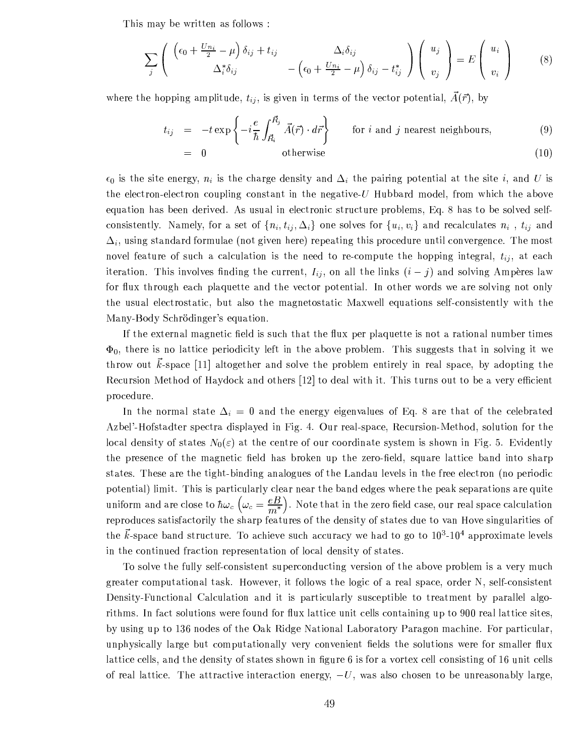This may be written as follows:

$$
\sum_{j} \left( \begin{array}{cc} \left( \epsilon_{0} + \frac{U n_{i}}{2} - \mu \right) \delta_{ij} + t_{ij} & \Delta_{i} \delta_{ij} \\ \Delta_{i}^{*} \delta_{ij} & - \left( \epsilon_{0} + \frac{U n_{i}}{2} - \mu \right) \delta_{ij} - t_{ij}^{*} \end{array} \right) \left( \begin{array}{c} u_{j} \\ v_{j} \end{array} \right) = E \left( \begin{array}{c} u_{i} \\ v_{i} \end{array} \right) \tag{8}
$$

where the hopping amplitude,  $t_{ij}$ , is given in terms of the vector potential,  $A(\vec{r})$ , by

$$
t_{ij} = -t \exp\left\{-i\frac{e}{\hbar} \int_{\vec{R}_i}^{\vec{R}_j} \vec{A}(\vec{r}) \cdot d\vec{r}\right\} \quad \text{for } i \text{ and } j \text{ nearest neighbours},
$$
(9)  
= 0 otherwise (10)

$$
\epsilon_0
$$
 is the site energy,  $n_i$  is the charge density and  $\Delta_i$  the pairing potential at the site *i*, and *U* is the electron-electron coupling constant in the negative-*U* Hubbard model, from which the above

the electr equation has been derived. As usual in electronic structure problems, Eq. 8 has to be solved selfconsistently. Namely, for a set of  $\{n_i, t_{ij}, \Delta_i\}$  one solves for  $\{u_i, v_i\}$  and recalculates  $n_i$ ,  $t_{ij}$  and  $\Delta_i$ , using standard formulae (not given here) repeating this procedure until convergence. The most novel feature of such a calculation is the need to re-compute the hopping integral,  $t_{ij}$ , at each iteration. This involves finding the current,  $I_{ij}$ , on all the links  $(i - j)$  and solving Ampères law for flux through each plaquette and the vector potential. In other words we are solving not only the usual electrostatic, but also the magnetostatic Maxwell equations self-consistently with the Many-Body Schrödinger's equation.

If the external magnetic field is such that the flux per plaquette is not a rational number times  $\Phi_0$ , there is no lattice periodicity left in the above problem. This suggests that in solving it we throw out  $\vec{k}$ -space [11] altogether and solve the problem entirely in real space, by adopting the Recursion Method of Haydock and others [12] to deal with it. This turns out to be a very efficient procedure.

In the normal state  $\Delta_i = 0$  and the energy eigenvalues of Eq. 8 are that of the celebrated Azbel'-Hofstadter spectra displayed in Fig. 4. Our real-space, Recursion-Method, solution for the local density of states  $N_0(\varepsilon)$  at the centre of our coordinate system is shown in Fig. 5. Evidently the presence of the magnetic field has broken up the zero-field, square lattice band into sharp states. These are the tight-binding analogues of the Landau levels in the free electron (no periodic potential) limit. This is particularly clear near the band edges where the peak separations are quite uniform and are close to  $\hbar\omega_c\left(\omega_c=\frac{eB}{m^*}\right)$ . Note that in the zero field case, our real space calculation reproduces satisfactorily the sharp features of the density of states due to van Hove singularities of the  $\vec{k}$ -space band structure. To achieve such accuracy we had to go to  $10^3$ -10<sup>4</sup> approximate levels in the continued fraction representation of local density of states.

To solve the fully self-consistent superconducting version of the above problem is a very much greater computational task. However, it follows the logic of a real space, order N, self-consistent Density-Functional Calculation and it is particularly susceptible to treatment by parallel algorithms. In fact solutions were found for flux lattice unit cells containing up to 900 real lattice sites, by using up to 136 nodes of the Oak Ridge National Laboratory Paragon machine. For particular, unphysically large but computationally very convenient fields the solutions were for smaller flux lattice cells, and the density of states shown in figure 6 is for a vortex cell consisting of 16 unit cells of real lattice. The attractive interaction energy,  $-U$ , was also chosen to be unreasonably large,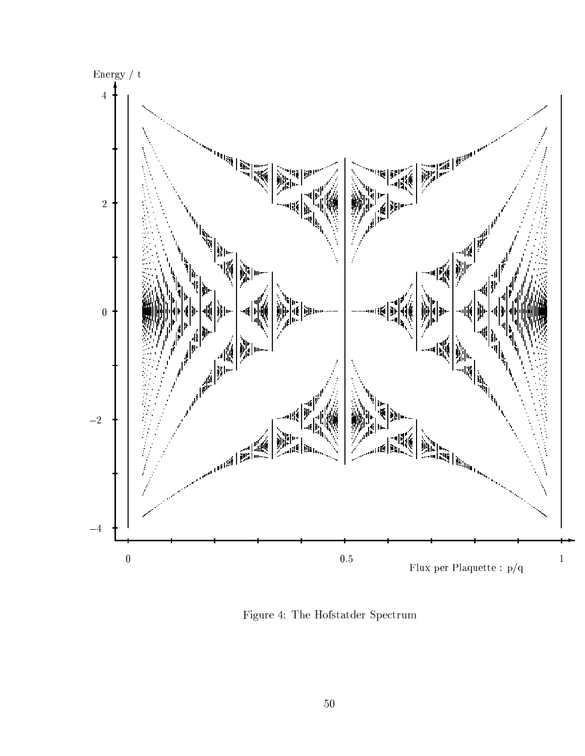

Figure 4: The Hofstatder Spectrum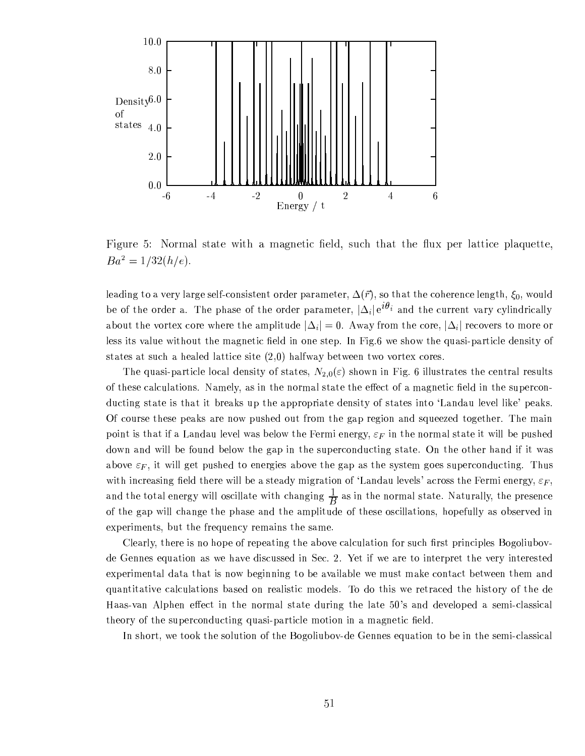

Figure 5: Normal state with a magnetic field, such that the flux per lattice plaquette,  $Ba^2 = 1/32(h/e).$ 

leading to a very large self-consistent order parameter,  $\Delta(\vec{r})$ , so that the coherence length,  $\xi_0$ , would be of the order a. The phase of the order parameter,  $|\Delta_i| e^{i\theta_i}$  and the current vary cylindrically about the vortex core where the amplitude  $|\Delta_i|=0$ . Away from the core,  $|\Delta_i|$  recovers to more or less its value without the magnetic field in one step. In Fig.6 we show the quasi-particle density of states at such a healed lattice site  $(2,0)$  halfway between two vortex cores.

The quasi-particle local density of states,  $N_{2,0}(\varepsilon)$  shown in Fig. 6 illustrates the central results of these calculations. Namely, as in the normal state the effect of a magnetic field in the superconducting state is that it breaks up the appropriate density of states into 'Landau level like' peaks. Of course these peaks are now pushed out from the gap region and squeezed together. The main point is that if a Landau level was below the Fermi energy,  $\varepsilon_F$  in the normal state it will be pushed down and will be found below the gap in the superconducting state. On the other hand if it was above  $\varepsilon_F$ , it will get pushed to energies above the gap as the system goes superconducting. Thus with increasing field there will be a steady migration of 'Landau levels' across the Fermi energy,  $\varepsilon_F$ , and the total energy will oscillate with changing  $\frac{1}{B}$  as in the normal state. Naturally, the presence of the gap will change the phase and the amplitude of these oscillations, hopefully as observed in experiments, but the frequency remains the same.

Clearly, there is no hope of repeating the above calculation for such first principles Bogoliubovde Gennes equation as we have discussed in Sec. 2. Yet if we are to interpret the very interested experimental data that is now beginning to be available we must make contact between them and quantitative calculations based on realistic models. To do this we retraced the history of the de Haas-van Alphen effect in the normal state during the late 50's and developed a semi-classical theory of the superconducting quasi-particle motion in a magnetic field.

In short, we took the solution of the Bogoliubov-de Gennes equation to be in the semi-classical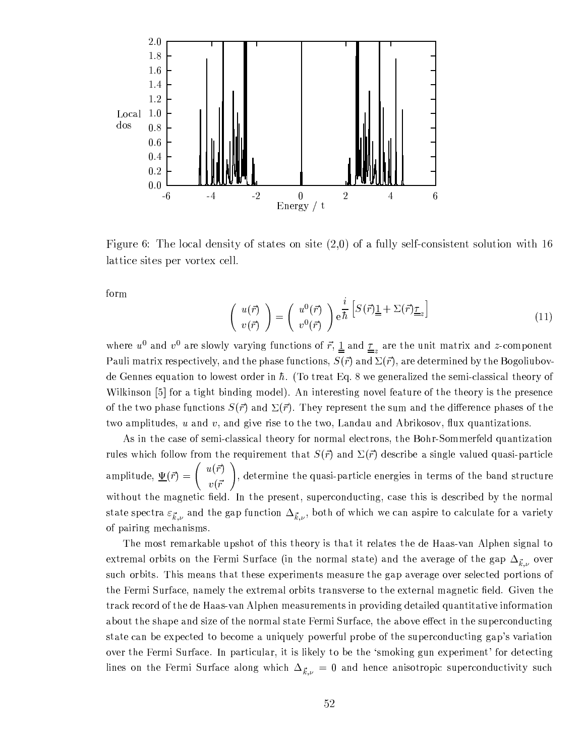

Figure 6: The local density of states on site  $(2,0)$  of a fully self-consistent solution with 16 lattice sites per vortex cell.

form

$$
\begin{pmatrix} u(\vec{r}) \\ v(\vec{r}) \end{pmatrix} = \begin{pmatrix} u^0(\vec{r}) \\ v^0(\vec{r}) \end{pmatrix} e^{\frac{i}{\hbar} \left[ S(\vec{r}) \underline{1} + \Sigma(\vec{r}) \underline{\tau}_z \right] \tag{11}
$$

where  $u^0$  and  $v^0$  are slowly varying functions of  $\vec{r}$ ,  $\underline{1}$  and  $\underline{r}_z$  are the unit matrix and z-component Pauli matrix respectively, and the phase functions,  $S(\vec{r})$  and  $\Sigma(\vec{r})$ , are determined by the Bogoliubovde Gennes equation to lowest order in  $\hbar$ . (To treat Eq. 8 we generalized the semi-classical theory of Wilkinson [5] for a tight binding model). An interesting novel feature of the theory is the presence of the two phase functions  $S(\vec{r})$  and  $\Sigma(\vec{r})$ . They represent the sum and the difference phases of the two amplitudes,  $u$  and  $v$ , and give rise to the two, Landau and Abrikosov, flux quantizations.

As in the case of semi-classical theory for normal electrons, the Bohr-Sommerfeld quantization rules which follow from the requirement that  $S(\vec{r})$  and  $\Sigma(\vec{r})$  describe a single valued quasi-particle amplitude,  $\underline{\Psi}(\vec{r}) = \begin{pmatrix} u(\vec{r}) \\ v(\vec{r}) \end{pmatrix}$ , determine the quasi-particle energies in terms of the band structure without the magnetic field. In the present, superconducting, case this is described by the normal state spectra  $\varepsilon_{\vec{k},\nu}$  and the gap function  $\Delta_{\vec{k},\nu}$ , both of which we can aspire to calculate for a variety of pairing mechanisms.

The most remarkable upshot of this theory is that it relates the de Haas-van Alphen signal to extremal orbits on the Fermi Surface (in the normal state) and the average of the gap  $\Delta_{\vec{k},\nu}$  over such orbits. This means that these experiments measure the gap average over selected portions of the Fermi Surface, namely the extremal orbits transverse to the external magnetic field. Given the track record of the de Haas-van Alphen measurements in providing detailed quantitative information about the shape and size of the normal state Fermi Surface, the above effect in the superconducting state can be expected to become a uniquely powerful probe of the superconducting gap's variation over the Fermi Surface. In particular, it is likely to be the 'smoking gun experiment' for detecting lines on the Fermi Surface along which  $\Delta_{\vec{k},\nu} = 0$  and hence anisotropic superconductivity such